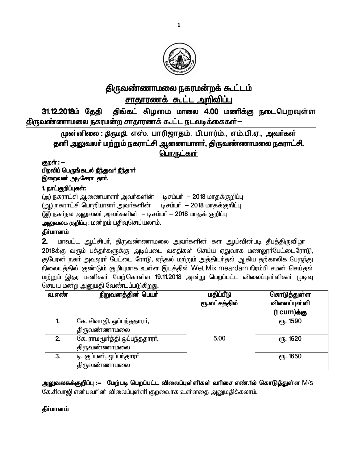

# <u>திருவண்ணாமலை நகரமன்றக் கூட்டம்</u>

<u>சாகாரணக் கூட்ட அறிவிப்பு</u>

31.12.2018ம் தேதி திங்கட் கிழமை மாலை 4.00 மணிக்கு நடைபெறவுள்ள <u>திருவண்ணாமலை நகரமன்ற சாதாரணக் கூட்ட நடவடிக்கைகள்—</u>

முன்னிலை : திருமதி, எஸ். பாரிஜாதம், பி.பார்ம்., எம்.பி.ஏ., அவர்கள் தனி அலுவலா் மற்றும் நகராட்சி ஆணையாளா், திருவண்ணாமலை நகராட்சி. பொருட்கள்

குறள் : **–** பிறவிப் பெருங்கடல் நீந்துவர் நீந்தார் இறைவன் அடிசேரா தார்.

# 1. நாட்குறிப்புகள்:

(அ) நகராட்சி ஆணையாளர் அவர்களின் டிசம்பர் — 2018 மாதக்குறிப்பு (ஆ) நகராட்சி பொறியாளர் அவர்களின் டிசம்பர் — 2018 மாதக்குறிப்பு (இ) நகர்நல அலுவலர் அவர்களின் – டிசம்பர் – 2018 மாதக் குறிப்பு

அலுவலக குறிப்பு : மன்றம் பதிவுசெய்யலாம்.

## தீா்மானம்

 $2$ . மாவட்ட ஆட்சியர், திருவண்ணாமலை அவர்களின் கள ஆய்வின்படி தீபத்திருவிழா – 2018க்கு வரும் பக்தா்களுக்கு அடிப்படை வசதிகள் செய்ய ஏதுவாக மணலூா்பேட்டைரோடு, குபேரன் நகர் அவலூர் பேட்டை ரோடு, ஏந்தல் மற்றும் அத்தியந்தல் ஆகிய தற்காலிக பேருந்து நிலையத்தில் குண்டும் குழியுமாக உள்ள இடத்தில் Wet Mix meardam நிரம்பி சமன் செய்தல் ்மற்றும் இதர பணிகள் மேற்கொள்ள 19.11.2018 அன்று பெறப்பட்ட விலைப்புள்ளிகள் முடிவு செய்ய மன்ற அனுமதி வேண்டப்படுகி<u>றத</u>ு.

| வ.எண | நிறுவனத்தின் பெயர்            | மதிப்பீடு     | கொடுத்துள்ள      |
|------|-------------------------------|---------------|------------------|
|      |                               | ரூ.லட்சத்தில் | விலைப்புள்ளி     |
|      |                               |               | (1 $cum)$ க்கு   |
|      | கே. சிவாஜி, ஒப்பந்ததாரா்,     |               | ரு. 1590         |
|      | திருவண்ணாமலை                  |               |                  |
| 2.   | கே. ராமமூர்த்தி ஒப்பந்ததாரர், | 5.00          | ரு. 1620         |
|      | திருவண்ணாமலை                  |               |                  |
| 3.   | டி. குப்பன், ஒப்பந்தாரா்      |               | <b>е</b> ђ. 1650 |
|      | திருவண்ணாமலை                  |               |                  |

<u>அலுவலகக்குறிப்பு :— மேற்</u>படி பெறப்பட்ட விலைப்புள்ளிகள் வரிசை எண்.1ல் கொடுத்துள்ள M/s கே.சிவாஜி என்பவரின் விலைப்புள்ளி குறவைாக உள்ளதை அனுமதிக்கலாம்.

## **கீர்மானம்**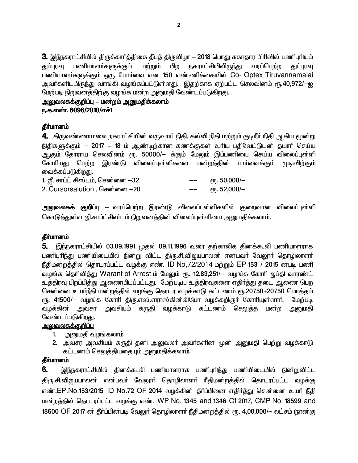3. இந்நகராட்சியில் திருக்காா்த்திகை தீபத் திருவிழா — 2018 பொது சுகாதார பிாிவில் பணிபுாியும் துப்புரவு பணியாளா்களுக்கும் மற்றும் பிற நகராட்சியிலிருந்து வரப்பெற்ற குப்பாவ பணியாளர்களுக்கும் ஒரு போர்வை என 150 எண்ணிக்கையில் Co- Optex Tiruvannamalai அவர்களிடமிருந்து வாங்கி வழங்கப்பட்டுள்ளது. இதற்காக ஏற்பட்ட செலவினம் ரூ.40,972/-ஐ மேற்படி நிறுவனத்திற்கு வழங்க மன்ற அனுமதி வேண்டப்படுகிறது.

அலுவலகக்குறிப்பு — மன்றம் அனுமதிக்கலாம் ந.க.எண். 6096/2018/எச்1

#### கீர்மானம்

4. திருவண்ணாமலை நகராட்சியின் வருவாய் நிதி, கல்வி நிதி மற்றும் குடிநீா் நிதி ஆகிய மூன்று நிதிகளுக்கும் — 2017 — 18 ம் ஆண்டிற்கான கணக்குகள் உரிய பதிவேட்டுடன் தயார் செய்ய ஆகும் தோராய செலவினம் ரூ. 50000/— க்கும் மேலும் இப்பணியை செய்ய விலைப்புள்ளி கோரியது பெற்ற இரண்டு விலைப்புள்ளிகளை மன்றத்தின் பாா்வைக்கும் முடிவிற்கும் வைக்கப்படுகிறது.

| 1. ஜீ. சாப்ட் சிஸ்டம், சென்னை $-32$ | -- | <sub>(</sub> դ. 50,000/– |
|-------------------------------------|----|--------------------------|
| 2. Cursorsalution, சென்னை –20       | -- | $e$ гђ. 52,000/-         |

<mark>அலுவலகக் குறிப்பு</mark> — வரப்பெற்ற இரண்டு விலைப்புள்ளிகளில் குறைவான விலைப்புள்ளி கொடுத்துள்ள ஜி.சாப்ட்சிஸ்டம் நிறுவனத்தின் விலைப்புள்ளியை அனுமதிக்கலாம்.

## தீர்மானம்

5. இந்நகராட்சியில் 03.09.1991 முதல் 09.11.1996 வரை தற்காலிக தினக்கூலி பணியாளராக பணிபுரிந்து பணியிடையில் நின்று விட்ட திரு.சி.விஜயபாலன் என்பவர் வேலூர் தொழிலாளர் நீதிமன்றத்தில் தொடரப்பட்ட வழக்கு எண். ID No,72/2014 மற்றும் EP 153 / 2015 ன்படி பணி வழங்க தெரிவித்து Warant of Arrest ம் மேலும் ரூ. 12,83,251/– வழங்க கோரி ஜப்தி வாரண்ட் உத்திரவு பிறப்பித்து ஆணையிடப்பட்டது. மேற்படிய உத்திரவுகளை எதிர்த்து தடை ஆணை பெற சென்னை உயாநீதி மன்றத்தில் வழக்கு தொடர வழக்காடு கட்டணம் ரூ.20750+20750 மொத்தம் ரூ. 41500/— வழங்க கோரி திரு.எஸ்.எராஸ்கின்லியோ வழக்கறிஞா் கோரியுள்ளாா். மேற்படி வழக்கின் அவசர அவசியம் கருதி வழக்காடு கட்டணம் செலுத்த மன்ற அனுமதி வேண்டப்படுகிறது.

## <u>அலுவலகக்குறிப்பு</u>

- 1. அனுமதி வழங்கலாம்
- 2. அவசர அவசியம் கருதி தனி அலுவலா் அவா்களின் முன் அனுமதி பெற்று வழக்காடு கட்டணம் செலுத்தியதையும் அனுமதிக்கலாம்.

#### தீர்மானம்

6. <u>இந்ந</u>கராட்சியில் தினக்கூலி பணியாளராக பணிபுரிந்து பணியிடையில் நின்றுவிட்ட திரு.சி.விஜயபாலன் என்பவர் வேலூர் தொழிலாளர் நீதிமன்றத்தில் தொடரப்பட்ட வழக்கு எண்.EP.No.153/2015 ID No.72 OF 2014 வழக்கின் தீர்ப்பினை எதிர்த்து சென்னை உயர் நீதி மன்றத்தில் தொடரப்பட்ட வழக்கு எண். WP No. 1345 and 1346 Of 2017, CMP No. 18599 and 18600 OF 2017 ன் தீர்ப்பின்படி வேலுர் தொழிலாளர் நீதிமன்றத்தில் ரூ. 4,00,000/— லட்சம் (நான்கு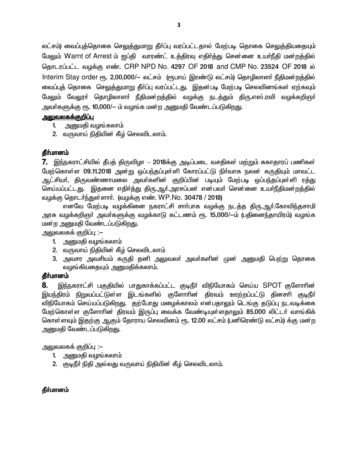லட்சம்) வைப்புத்தொகை செலுத்துமாறு தீா்ப்பு வரப்பட்டதால் மேற்படி தொகை செலுத்தியதையும் மேலும் Warnt of Arrest ம் ஜப்தி வாரண்ட் உத்திரவு எதிர்த்து சென்னை உயர்நீதி மன்றத்தில் தொடரப்பட்ட வழக்கு எண். CRP NPD No. 4297 OF 2018 and CMP No. 23524 OF 2018 ல் Interim Stay order ரூ. 2,00,000/- லட்சம் (ரூபாய் இரண்டு லட்சம்) தொழிலாளர் நீதிமன்றத்தில் வைப்புத் தொகை செலுத்துமாறு தீா்ப்பு வரப்பட்டது. இதன்படி மேற்படி செலவினங்கள் ஏற்கவும் மேலும் வேலூர் தொழிலாளர் நீதிமன்றத்தில் வழக்கு நடத்தும் திரு.எஸ்.ரவி வழக்கறிஞர் அவா்களுக்கு ரூ. 10,000/— ம் வழங்க மன்ற அனுமதி வேண்டப்படுகி<u>றது</u>.

## <u>அலுவலகக்குறிப்பு</u>

- 1. அனுமதி வழங்கலாம்
- 2. வருவாய் நிதியின் கீழ் செலவிடலாம்.

# தீர்மானம்

7. இந்நகராட்சியில் தீபத் திருவிழா – 2018க்கு அடிப்படை வசதிகள் மற்றும் சுகாதாரப் பணிகள் மேற்கொள்ள 09.11.2018 அன்று ஒப்பந்தப்புள்ளி கோரப்பட்டு நிர்வாக நலன் கருதியும் மாவட்ட ஆட்சியா், திருவண்ணாமலை அவா்களின் குறிப்பின் படியும் மேற்படி ஒப்பந்தப்புள்ளி ரத்து செய்யப்பட்டது. இதனை எதிர்த்து திரு.ஆர்.அரசப்பன் என்பவர் சென்னை உயர்நீதிமன்றத்தில் வழக்கு தொடர்ந்துள்ளார். (வழக்கு எண். WP.No. 30478 / 2018)

எனவே மேற்படி வழக்கினை நகராட்சி சாா்பாக வழக்கு நடத்த திரு.ஆா்.கோவிந்தசாமி அரசு வழக்கறிஞர் அவர்களுக்கு வழக்காடு கட்டணம் ரூ. 15,000/—ம் (பதினைந்தாயிரம்) வழங்க மன்ற அனுமதி வேண்டப்படுகிறது.

அலுவலகக் குறிப்பு :–

- 1. அனுமதி வழங்கலாம்
- 2. வருவாய் நிதியின் கீழ் செலவிடலாம்
- 3. அவசர அவசியம் கருதி தனி அலுவலா் அவா்களின் முன் அனுமதி பெற்று தொகை வழங்கியதையும் அனுமதிக்கலாம்.

## தீா்மானம்

8. இந்நகராட்சி பகுதியில் பாதுகாக்கப்பட்ட குடிநீா் விநியோகம் செய்ய SPOT குளோாின இயந்திரம் நிறுவப்பட்டுள்ள இடங்களில் குளோரின் திரவம் ஊற்றப்பட்டு தினசரி குடிநீர் விநியோகம் செய்யப்படுகிறது. தற்போது மழைக்காலம் என்பதாலும் டெங்கு தடுப்பு நடவடிக்கை மேற்கொள்ள குளோரின் திரவம் இருப்பு வைக்க வேண்டியுள்ளதாலும் 85,000 லிட்டர் வாங்கிக் கொள்ளவும் இதற்கு ஆகும் தோராய செலவினம் ரூ. 12.00 லட்சம் (பனிரெண்டு லட்சம்) க்கு மன்ற அனுமதி வேண்டப்படுகிறது.

அலுவலகக் குறிப்பு :–

- 1. அனுமதி வழங்கலாம்
- 2. குடிநீா் நிதி அல்லது வருவாய் நிதியின் கீழ் செலவிடலாம்.

# **கீர்மானம்**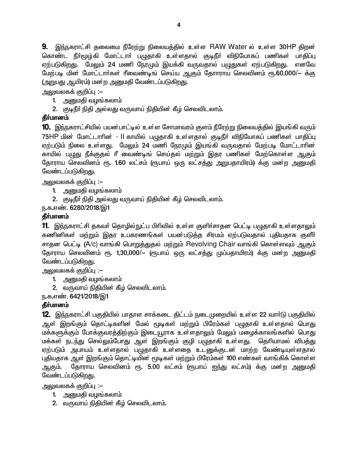9. இந்நகராட்சி தலைமை நீரேற்று நிலையத்தில் உள்ள RAW Water ல் உள்ள 30HP திறன் கொண்ட நீா்மூழ்கி மோட்டாா் பமுதாகி உள்ளதால் குடிநீா் விநியோகப் பணிகள் பாகிப்பு ஏற்படுகிறது. மேலும் 24 மணி நேரமும் இயக்கி வருவதால் பழுதுகள் ஏற்படுகிறது. எனவே மேற்படி மின் மோட்டார்கள் ரீவைண்டிங் செய்ய ஆகும் தோாராய செலவினம் ரூ.60,000/— க்கு (அறுபது ஆயிரம்) மன்ற அனுமதி வேண்டப்படுகிறது.

அலுவலகக் குறிப்பு :–

- 1. அனுமதி வழங்கலாம்
- 2. குடிநீா் நிதி அல்லது வருவாய் நிதியின் கீழ் செலவிடலாம்.

# தீர்மானம்

10. இந்நகராட்சியில் பயன்பாட்டில் உள்ள சோமாவரம் குளம் நீரேற்று நிலையத்தில் இயங்கி வரும் 75HP மின் மோட்டாரின் - II காயில் பமுதாகி உள்ளதால் குடிநீர் விநியோகப் பணிகள் பாதிப்பு ஏற்படும் நிலை உள்ளது. மேலும் 24 மணி நேரமும் இயங்கி வருவதால் மேற்படி மோட்டாரின் காயில் பமுது நீக்குதல் ரீ வைண்டிங் செய்தல் மற்றும் இதர பணிகள் மேற்கொள்ள ஆகும் தோராய செலவினம் ரூ. 1.60 லட்சம் (ரூபாய் ஒரு லட்சத்து அறுபதாயிரம்) க்கு மன்ற அனுமதி வேண்டப்படுகிறது.

அலுவலகக் குறிப்பு :–

- 1. அனுமதி வழங்கலாம்
- 2. குடிநீா் நிதி அல்லது வருவாய் நிதியின் கீழ் செலவிடலாம்.

ந.க.எண். 6280/2018/இ1

# கீர்மானம்

11. இந்நகராட்சி தகவர் தொழில்நுட்ப பிரிவில் உள்ள குளிர்சாதன பெட்டி பழுதாகி உள்ளதாலும் கணினிகள் மற்றும் இதர உபகரணங்கள் பயன்படுத்த சிரமம் ஏற்படுவதால் புதியதாக குளீர் சாதன பெட்டி (A/c) வாங்கி பொறுத்துதல் மற்றும் Revolving Chair வாங்கி கொள்ளவும் ஆகும் தோராய செலவினம் ரூ. 1,30,000/– (ரூபாய் ஒரு லட்சத்து முப்பதாயிரம்) க்கு மன்ற அனுமதி வேண்டப்படுகிறது.

அலுவலகக் குறிப்பு :–

- 1. அனுமதி வழங்கலாம்
- 2. வருவாய் நிதியின் கீழ் செலவிடலாம்.

ந.க.எண். 6421/2018/இ1

# தீர்மானம்

12. இந்நகராட்சி பகுதியில் பாதாள சாக்கடை திட்டம் நடைமுறையில் உள்ள 22 வாா்டு பகுதியில் ஆள் இறங்கும் தொட்டிகளின் மேல் மூடிகள் மற்றும் பிரேம்கள் பழுதாகி உள்ளதால் பொது மக்களுக்கும் போக்குவரத்திற்கும் இடையூராக உள்ளதாலும் மேலும் மழைக்காலங்களில் பொது மக்கள் நடந்து செல்லும்போது ஆள் இறங்கும் குழி பழுதாகி உள்ளது. தெரியாமல் விபத்து ஏற்படும் அபாயம் உள்ளதால் பழுதாகி உள்ளதை உடனுக்குடன் மாற்ற வேண்டியுள்ளதால் புதியதாக ஆள் இறங்கும் தொட்டியின் மூடிகள் மற்றும் பிரேம்கள் 100 எண்கள் வாங்கிக் கொள்ள தோராய செலவினம் ரூ. 5.00 லட்சம் (ரூபாய் ஐந்து லட்சம்) க்கு மன்ற அனுமதி ஆகும். வேண்டப்படுகிறது.

அலுவலகக் குறிப்பு :–

- 1. அனுமதி வழங்கலாம்
- 2. வருவாய் நிதியின் கீழ் செலவிடலாம்.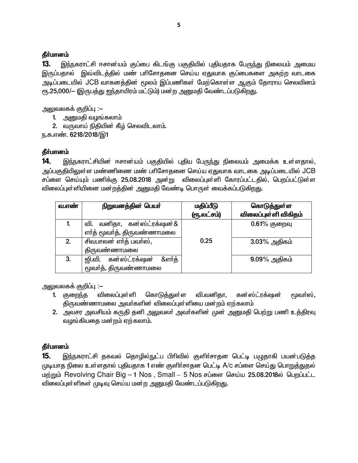13. இந்நகராட்சி ஈசான்யம் குப்பை கிடங்கு பகுதியில் புதியதாக பேருந்து நிலையம் அமைய இருப்பதால் இவ்விடத்தில் மண் பரிசோதனை செய்ய ஏதுவாக குப்பைகளை அகற்ற வாடகை அடிப்படையில் JCB வாகனத்தின் மூலம் இப்பணிகள் மேற்கொள்ள ஆகும் தோராய செலவினம் ரூ.25,000/— (இருபத்து ஐந்தாயிரம் மட்டும்) மன்ற அனுமதி வேண்டப்படுகிறது.

அலுவலகக் குறிப்பு :–

- 1. அனுமதி வழங்கலாம்
- 2. வருவாய் நிதியின் கீழ் செலவிடலாம்.

ந.க.எண். 6218/2018/இ1

## தீர்மானம்

இந்நகராட்சியின் ஈசான்யம் பகுதியில் புதிய பேருந்து நிலையம் அமைக்க உள்ளதால், 14. அப்பகுதியிலுள்ள மண்ணிணை மண் பரிசோதனை செய்ய ஏதுவாக வாடகை அடிப்படையில் JCB சப்ளை செய்யும் பணிக்கு 25.08.2018 அன்று விலைப்புள்ளி கோரப்பட்டதில், பெறப்பட்டுள்ள விலைப்புள்ளியினை மன்றத்தின் அனுமதி வேண்டி பொருள் வைக்கப்படுகிறது.

| வ.எண் | நிறுவனத்தின் பெயர்             | மதிப்பீடு<br>(ரூ.லட்சம்) | கொடுத்துள்ள<br>விலைப்புள்ளி விகிதம் |
|-------|--------------------------------|--------------------------|-------------------------------------|
|       | வனிதா, கன்ஸ்ட்ரக்ஷன்&<br>வி.   |                          | $0.61%$ குறைவு                      |
|       | எா்த் மூவா்த், திருவண்ணாமலை    |                          |                                     |
| 2.    | சிவபாலன் எர்த் பவர்ஸ்,         | 0.25                     | $3.03\%$ அதிகம்                     |
|       | திருவண்ணாமலை                   |                          |                                     |
| 3.    | &எா்த்<br>ஜி.வி. கன்ஸ்ட்ரக்ஷன் |                          | $9.09\%$ அதிகம்                     |
|       | மூவா்த், திருவண்ணாமலை          |                          |                                     |

<u> அலுவலகக் குறிப்பு :–</u>

- விலைப்புள்ளி கொடுக்குள்ள வி.வனிகா. கன்ஸ்ட்ரக்ஷன் மூவா்ஸ். 1. குறைந்த திருவண்ணாமலை அவா்களின் விலைப்புள்ளியை மன்றம் ஏற்கலாம்
- 2. அவசர அவசியம் கருதி தனி அலுவலா் அவா்களின் முன் அனுமதி பெற்று பணி உத்திரவு வழங்கியதை மன்றம் ஏற்கலாம்.

## தீா்மானம்

15. இந்நகராட்சி தகவல் தொழில்நுட்ப பிரிவில் குளிர்சாதன பெட்டி பழுதாகி பயன்படுத்த முடியாத நிலை உள்ளதால் புதியதாக 1 எண் குளிர்சாதன பெட்டி A/c சப்ளை செய்து பொறுத்துதல் மற்றும் Revolving Chair Big - 1 Nos, Small - 5 Nos சப்ளை செய்ய 25.08.2018ல் பெறப்பட்ட விலைப்புள்ளிகள் முடிவு செய்ய மன்ற அனுமதி வேண்டப்படுகிறது.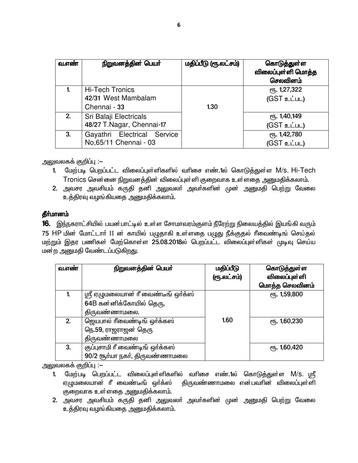| வ.எண் | நிறுவனத்தின் பெயர்                                            | மதிப்பீடு (ரூ.லட்சம்) | கொடுத்துள்ள<br>விலைப்புள்ளி மொத்த<br>செலவினம் |
|-------|---------------------------------------------------------------|-----------------------|-----------------------------------------------|
|       | <b>Hi-Tech Tronics</b><br>42/31 West Mambalam<br>Chennai - 33 | 1.30                  | ரு. 1,27,322<br>(GST உட்பட)                   |
| 2.    | Sri Balaji Electricals<br>48/27 T.Nagar, Chennai-17           |                       | <b>е</b> ђ. 1,40,149<br>(GST உட்பட)           |
| 3.    | Gayathri Electrical Service<br>No, 65/11 Chennai - 03         |                       | ரு. 1,42,780<br>(GST உட்பட)                   |

அலுவலகக் குறிப்பு :–

- 1. மேற்படி பெறப்பட்ட விலைப்புள்ளிகளில் வரிசை எண்.1ல் கொடுத்துள்ள M/s. Hi-Tech Tronics சென்னை நிறுவனத்தின் விலைப்புள்ளி குறைவாக உள்ளதை அனுமதிக்கலாம்.
- 2. அவசர அவசியம் கருதி தனி அலுவலா் அவா்களின் முன் <u>அனு</u>மதி பெற்று வேலை உத்திரவு வழங்கியதை அனுமதிக்கலாம்.

#### தீர்மானம்

16. இந்நகராட்சியில் பயன்பாட்டில் உள்ள சோமாவரம்குளம் நீரேற்று நிலையத்தில் இயங்கி வரும் 75 HP மின் மோட்டார் II ன் காயில் பழுதாகி உள்ளதை பழுது நீக்குதல் ரீவைண்டிங் செய்தல் மற்றும் இதர பணிகள் மேற்கொள்ள 25.08.2018ல் பெறப்பட்ட விலைப்புள்ளிகள் முடிவு செய்ய மன்ற அனுமதி வேண்டப்படுகிறது.

| வ.எண் | நிறுவனத்தின் பெயர்                                             | மதிப்பீடு<br>(ரூ.லட்சம்) | கொடுத்துள்ள<br>விலைப்புள்ளி<br>மொத்த செலவினம் |
|-------|----------------------------------------------------------------|--------------------------|-----------------------------------------------|
| 1.    | ஸ்ரீ ஏழுமலையான் ரீ வைண்டீங் ஒர்க்ஸ்<br>64B கன்னிக்கோயில் தெரு, |                          | ரு. 1,59,800                                  |
|       | திருவண்ணாமலை.                                                  |                          |                                               |
| 2.    | ஜெயபால் ரீவைண்டிங் ஒர்க்கஸ்                                    | 1.60                     | $e$ <sup>1</sup> , 60, 230                    |
|       | நெ.59, ராஜராஜன் தெரு<br>திருவண்ணாமலை                           |                          |                                               |
| 3.    | குப்புசாமி ரீ வைண்டிங் ஒர்க்கஸ்                                |                          | ரூ. 1,60,420                                  |
|       | 90/2 சூர்யா நகர், திருவண்ணாமலை                                 |                          |                                               |

அலுவலகக் குறிப்பு :–

- வரிசை எண்.1ல் கொடுத்துள்ள M/s. ஸ்ரீ 1. மேற்படி பெறப்பட்ட விலைப்புள்ளிகளில் ஏழுமலையான் ரீ வைண்டீங் ஒர்க்ஸ் திருவண்ணாமலை என்பவரின் விலைப்புள்ளி குறைவாக உள்ளதை அனுமதிக்கலாம்.
- 2. அவசர அவசியம் கருதி தனி அலுவலா் அவா்களின் முன் அனுமதி பெற்று வேலை உத்திரவு வழங்கியதை அனுமதிக்கலாம்.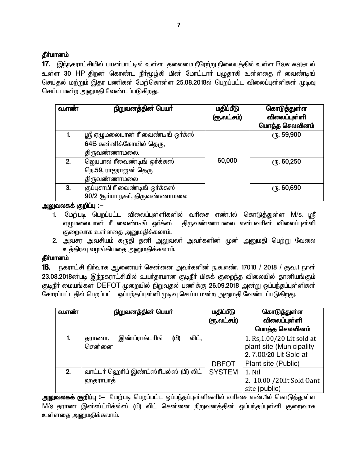17. இந்நகராட்சியில் பயன்பாட்டில் உள்ள தலைமை நீரேற்று நிலையத்தில் உள்ள Raw water ல் உள்ள 30 HP திறன் கொண்ட நீர்மூழ்கி மின் மோட்டார் பழுதாகி உள்ளதை ரீ வைண்டிங் செய்தல் மற்றும் இதர பணிகள் மேற்கொள்ள 25.08.2018ல் பெறப்பட்ட விலைப்புள்ளிகள் முடிவு செய்ய மன்ற அனுமதி வேண்டப்படுகிறது.

| வ.எண் | நிறுவனத்தின் பெயர்                  | மதிப்பீடு<br>(ரூ.லட்சம்) | கொடுத்துள்ள<br>விலைப்புள்ளி<br>மொத்த செலவினம் |
|-------|-------------------------------------|--------------------------|-----------------------------------------------|
|       | ஸ்ரீ ஏழுமலையான் ரீ வைண்டீங் ஒர்க்ஸ் |                          | ரு. 59,900                                    |
|       | 64B கன்னிக்கோயில் தெரு,             |                          |                                               |
|       | திருவண்ணாமலை.                       |                          |                                               |
| 2.    | ஜெயபால் ரீவைண்டிங் ஒர்க்கஸ்         | 60,000                   | $e$ <sup>1</sup> 5. 60,250                    |
|       | நெ.59, ராஜராஜன் தெரு                |                          |                                               |
|       | திருவண்ணாமலை                        |                          |                                               |
| 3.    | குப்புசாமி ரீ வைண்டிங் ஒர்க்கஸ்     |                          | ரு. 60,690                                    |
|       | 90/2 சூர்யா நகர், திருவண்ணாமலை      |                          |                                               |

அலுவலகக் குறிப்பு :—

- 1. மேற்படி பெறப்பட்ட விலைப்புள்ளிகளில் வரிசை எண்.1ல் கொடுத்துள்ள M/s. ஸ்ரீ ஏழுமலையான் ரீ வைண்டீங் ஒர்க்ஸ் திருவண்ணாமலை என்பவரின் விலைப்புள்ளி குறைவாக உள்ளதை அனுமதிக்கலாம்.
- 2. அவசர அவசியம் கருதி தனி அலுவலா் அவா்களின் முன் அனுமதி பெற்று வேலை உத்திரவு வழங்கியதை அனுமதிக்கலாம்.

## தீர்மானம்

18. நகராட்சி நிர்வாக ஆணையர் சென்னை அவர்களின் ந.க.எண். 17018 / 2018 / குவ.1 நாள் 23.08.2018ன்படி இந்நகராட்சியில் உயர்தரமான குடிநீர் மிகக் குறைந்த விலையில் தானியங்கும் குடிநீர் மையங்கள் DEFOT முறையில் நிறுவுதல் பணிக்கு 26.09.2018 அன்று ஒப்பந்தப்புள்ளிகள் கோரப்பட்டதில் பெறப்பட்ட ஒப்பந்தப்புள்ளி முடிவு செய்ய மன்ற அனுமதி வேண்டப்படுகிறது.

| வ.எண் | நிறுவனத்தின் பெயர்                                  | மதிப்பீடு     | கொடுத்துள்ள                                            |
|-------|-----------------------------------------------------|---------------|--------------------------------------------------------|
|       |                                                     | (ரூ.லட்சம்)   | விலைப்புள்ளி                                           |
|       |                                                     |               | மொத்த செலவினம்                                         |
| 1.    | இண்ப்ராக்டரிங்<br>லிட்.<br>(பி)<br>தராணா,<br>சென்னை |               | 1. Rs, 1.00/20 Lit sold at<br>plant site (Municipality |
|       |                                                     |               | 2.7.00/20 Lit Sold at                                  |
|       |                                                     | <b>DBFOT</b>  | Plant site (Public)                                    |
| 2.    | வாட்டர் ஹெரிப் இண்ட்ஸ்ரீயல்ஸ் (பி) லிட்             | <b>SYSTEM</b> | 1. Nil                                                 |
|       | ஹதராபாத்                                            |               | 2. 10.00 / 20lit Sold Oant<br>site (public)            |

அலுவலகக் குறிப்பு :— மேற்படி பெறப்பட்ட ஒப்பந்தப்புள்ளிகளில் வரிசை எண்.1ல் கொடுத்துள்ள M/s தராண இன்ஸ்ட்ரிக்ல்ஸ் (பி) லிட் சென்னை நிறுவனத்தின் ஒப்பந்தப்புள்ளி குறைவாக உள்ளதை அனுமதிக்கலாம்.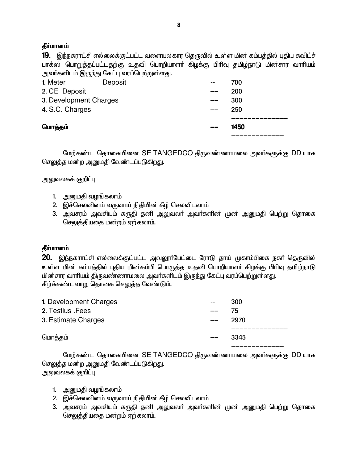19. இந்நகராட்சி எல்லைக்குட்பட்ட வளையல்கார தெருவில் உள்ள மின் கம்பத்தில் புதிய சுவிட்ச் பாக்ஸ் பொறுத்தப்பட்டதற்கு உதவி பொறியாளா் கிழக்கு பிரிவு தமிழ்நாடு மின்சார வாாியம் அவர்களிடம் இருந்து கேட்பு வரப்பெற்றுள்ளது.

| 1. Meter               | Deposit |    | 700  |
|------------------------|---------|----|------|
| 2. CE Deposit          |         |    | 200  |
| 3. Development Charges |         | -- | 300  |
| 4. S.C. Charges        |         | __ | 250  |
|                        |         |    |      |
| மொத்தம்                |         |    | 1450 |
|                        |         |    |      |

மேற்கண்ட தொகையினை SE TANGEDCO திருவண்ணாமலை அவர்களுக்கு DD யாக செலுத்த மன்ற அனுமதி வேண்டப்படுகிறது.

அலுவலகக் குறிப்பு

- 1. அனுமதி வழங்கலாம்
- 2. இச்செலவினம் வருவாய் நிதியின் கீழ் செலவிடலாம்
- 3. அவசரம் அவசியம் கருதி தனி அலுவலா் அவா்களின் முன் அனுமதி பெற்று தொகை செலுத்தியதை மன்றம் ஏற்கலாம்.

## தீா்மானம்

 $20$ . இந்நகராட்சி எல்லைக்குட்பட்ட அவலூா்பேட்டை ரோடு தாய் முகாம்பிகை நகா் தெருவில் உள்ள மின் கம்பத்தில் புதிய மின்கம்பி பொருத்த உதவி பொறியாளர் கிழக்கு பிரிவு தமிழ்நாடு <u>மின் சார வாரியம் திருவண்ணாமலை அவர்களிடம் இருந்து</u> கேட்பு வரப்பெற்றுள்ளது. கீழ்க்கண்டவாறு தொகை செலுத்த வேண்டும்.

| 1. Development Charges | $- -$ | 300  |
|------------------------|-------|------|
| 2. Testius . Fees      |       | 75   |
| 3. Estimate Charges    | $- -$ | 2970 |
|                        |       |      |
| மொத்தம்                | $- -$ | 3345 |
|                        |       |      |

மேற்கண்ட தொகையினை SE TANGEDCO திருவண்ணாமலை அவர்களுக்கு DD யாக செலுத்த மன்ற அனுமதி வேண்டப்படுகிறது. அலுவலகக் குறிப்பு

- 1. அனுமதி வழங்கலாம்
- 2. இச்செலவினம் வருவாய் நிதியின் கீழ் செலவிடலாம்
- 3. அவசரம் அவசியம் கருதி தனி அலுவலா் அவா்களின் முன் அனுமதி பெற்று தொகை செலுத்தியதை மன்றம் ஏற்கலாம்.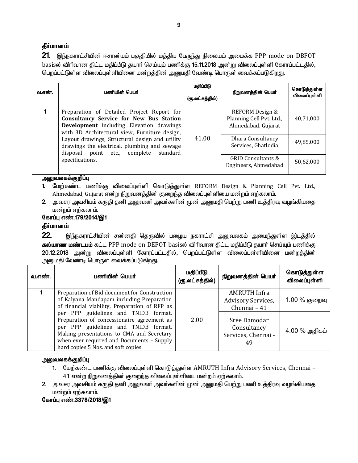21. இந்நகராட்சியின் ஈசான்யம் பகுதியில் மத்திய பேருந்து நிலையம் அமைக்க PPP mode on DBFOT basisல் விரிவான திட்ட மதிப்பீடு தயார் செய்யும் பணிக்கு 15.11.2018 அன்று விலைப்புள்ளி கோரப்பட்டதில், பெறப்பட்டுள்ள விலைப்புள்ளியினை மன்றத்தின் அனுமதி வேண்டி பொருள் வைக்கப்படுகிறது.

| வ.எண்.                                                                                                                                      | பணியின் பெயர்                                                                                                                                                                             | மதிப்பீடு<br>(ரூ.லட்சத்தில்)             | நிறுவனத்தின் பெயர்                                                | கொடுத்துள்ள<br>விலைப்புள் ளி |
|---------------------------------------------------------------------------------------------------------------------------------------------|-------------------------------------------------------------------------------------------------------------------------------------------------------------------------------------------|------------------------------------------|-------------------------------------------------------------------|------------------------------|
|                                                                                                                                             | Preparation of Detailed Project Report for<br><b>Consultancy Service for New Bus Station</b><br>Development including Elevation drawings<br>with 3D Architectural view, Furniture design, |                                          | REFORM Design &<br>Planning Cell Pvt. Ltd.,<br>Ahmedabad, Gujarat | 40,71,000                    |
| Layout drawings, Structural design and utility<br>drawings the electrical, plumbing and sewage<br>standard<br>disposal point etc., complete | 41.00                                                                                                                                                                                     | Dhara Consultancy<br>Services, Ghatlodia | 49,85,000                                                         |                              |
|                                                                                                                                             | specifications.                                                                                                                                                                           |                                          | GRID Consultants &<br>Engineers, Ahmedabad                        | 50,62,000                    |

அலுவலகக்குறிப்பு

1. மேற்கண்ட பணிக்கு விலைப்புள்ளி கொடுத்துள்ள REFORM Design & Planning Cell Pvt. Ltd., Ahmedabad, Gujarat என்ற நிறுவனத்தின் குறைந்த விலைப்புள்ளியை மன்றம் ஏற்கலாம்.

2. அவசர அவசியம் கருதி தனி அலுவலர் அவர்களின் முன் அனுமதி பெற்று பணி உத்திரவு வழங்கியதை மன்றம் ஏற்கலாம்.

#### கோப்பு எண்.179/2014/இ1

#### தீர்மானம்

 $22.$ இந்நகராட்சியின் சன்னதி தெருவில் பழைய நகராட்சி அலுவலகம் அமைந்துள்ள இடத்தில் கல்யாண மண்டபம் கட்ட PPP mode on DEFOT basisல் விரிவான திட்ட மதிப்பீடு தயார் செய்யும் பணிக்கு 20.12.2018 அன்று விலைப்புள்ளி கோரப்பட்டதில், பெறப்பட்டுள்ள விலைப்புள்ளியினை மன்றத்தின் அனுமதி வேண்டி பொருள் வைக்கப்படுகிறது.

| வ.எண். | பணியின் பெயர்                                                                                                                                                                                                                                               | மதிப்பீடு<br>(ரூ.லட்சத்தில்) | நிறுவனத்தின் பெயர்                                        | கொடுத்துள்ள<br>விலைப்புள்ளி |
|--------|-------------------------------------------------------------------------------------------------------------------------------------------------------------------------------------------------------------------------------------------------------------|------------------------------|-----------------------------------------------------------|-----------------------------|
|        | Preparation of Bid document for Construction<br>of Kalyana Mandapam including Preparation<br>of financial viability, Preparation of RFP as                                                                                                                  |                              | <b>AMRUTH Infra</b><br>Advisory Services,<br>Chennai - 41 | 1.00 % குறைவு               |
|        | per PPP guidelines and TNIDB format,<br>Preparation of concessionaire agreement as<br>per PPP guidelines and TNIDB format,<br>Making presentations to CMA and Secretary<br>when ever required and Documents - Supply<br>hard copies 5 Nos. and soft copies. | 2.00                         | Sree Damodar<br>Consultancy<br>Services, Chennai -<br>49  | 4.00 % அதிகம்               |

#### அலுவலகக்குறிப்பு

- 1. மேற்கண்ட பணிக்கு விலைப்புள்ளி கொடுத்துள்ள AMRUTH Infra Advisory Services, Chennai 41 என்ற நிறுவனத்தின் குறைந்த விலைப்புள்ளியை மன்றம் ஏற்கலாம்.
- 2. அவசர அவசியம் கருதி தனி அலுவலா் அவா்களின் முன் அனுமதி பெற்று பணி உத்திரவு வழங்கியதை மன்றம் ஏற்கலாம்.

கோப்பு எண்.3378/2018/இ1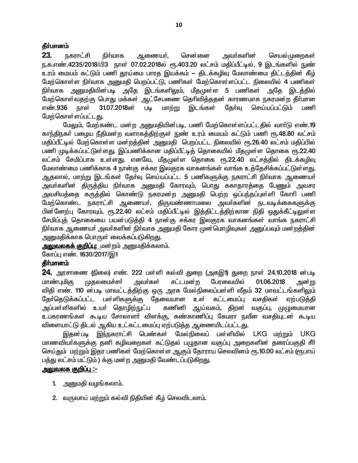23. <u>நகராட்</u>சி நிர்வாக சென்னை அவா்களின் செயல் முறைகள் ஆணையா், நு.க.எண்.4235/2018/பி3 நாள் 07.02.2018ல் ரூ.403.20 லட்சம் மதிப்பீட்டில், 9 இடங்களில் நுண் உரம் மையம் கட்டும் பணி தூய்மை பாரத இயக்கம் — திடக்கழிவு மேலாண்மை திட்டத்தின் கீழ் மேற்கொள்ள நிர்வாக அனுமதி பெறப்பட்டு, பணிகள் மேற்கொள்ளப்பட்ட நிலையில் 4 பணிகள் நிா்வாக அனுமதியின்படி அதே இடங்களிலும், மீதமுள்ள 5 பணிகள் அதே இடத்தில் மேற்கொள்வதற்கு பொது மக்கள் ஆட்சேபணை தெரிவித்ததன் காரணமாக நகரமன்ற தீா்மான எண்.936 நாள் 31.07.2018ன் Lile மாற்று இடங்கள் கேர்வு செய்யப்பட்டும் பணி மேற்கொள்ளப்பட்டது.

மேலும், மேற்கண்ட மன்ற அனுமதியின்படி, பணி மேற்கொள்ளப்பட்டதில் வார்டு எண்.19 காந்திநகர் பழைய நீதிமன்ற வளாகத்திற்குள் நுண் உரம் மையம் கட்டும் பணி ரூ.48.80 லட்சம் மதிப்பீட்டில் மேற்கொள்ள மன்றத்தின் அனுமதி பெறப்பட்ட நிலையில் ரூ.26.40 லட்சம் மதிப்பில் பணி முடிக்கப்பட்டுள்ளது. இப்பணிக்கான மதிப்பீட்டித் தொகையில் மீதமுள்ள தொகை ரூ.22.40 லட்சம் சேமிப்பாக உள்ளது. எனவே, மீதமுள்ள தொகை ரூ.22.40 லட்சத்தில் திடக்கழிவு மேலாண்மை பணிக்காக 4 நான்கு சக்கர இலகுரக வாகனங்கள் வாங்க உத்தேசிக்கப்பட்டுள்ளது. ஆதலால், மாற்று இடங்கள் தேர்வு செய்யப்பட்ட 5 பணிகளுக்கு நகராட்சி நிர்வாக ஆணையர் அவா்களின் திருத்திய நிா்வாக அனுமதி கோரவும், பொது சுகாதாரத்தை பேணும் அவசர அவசியத்தை கருத்தில் கொண்டு நகரமன்ற அனுமதி பெற்ற ஒப்பந்தப்புள்ளி கோரி பணி மேற்கொண்ட நகராட்சி ஆணையர், திருவண்ணாமலை அவர்களின் நடவடிக்கைகளுக்கு பின்னேற்பு கோரவும், ரூ.22.40 லட்சம் மதிப்பீட்டில் இத்திட்டத்திற்கான நிதி ஒதுக்கீட்டிலுள்ள சேமிப்புத் தொகையை பயன்படுத்தி 4 நான்கு சக்கர இலகுரக வாகனங்கள் வாங்க நகராட்சி நிா்வாக ஆணையா் அவா்களின் நிா்வாக அனுமதி கோர முன்மொழிவுகள் அனுப்பவும் மன்றத்தின் அனுமதிக்காக பொருள் வைக்கப்படுகிறது.

<mark>அலுவலகக் குறிப்பு:</mark> மன்றம் அனுமதிக்கலாம்.

கோப்பு எண். 1630/2017/இ1

#### தீர்மானம்

24. அரசாணை (நிலை) எண். 222 பள்ளி கல்வி துறை (அகஇ1) துறை நாள் 24.10.2018 ன்படி மாண்புமிகு முதலமைச்சர் அவா்கள் சட்டமன்ற பேரவையில் 01.06.2018 அன்று விதி எண். 110 ன்படி மாவட்டத்திற்கு ஒரு அரசு மேல்நிலைப்பள்ளி வீதம் 32 மாவட்டங்களிலும் தோ்தெடுக்கப்பட்ட பள்ளிகளுக்கு தேவையான உள் கட்டமைப்பு வசதிகள் ஏற்படுக்கி அப்பள்ளிகளில் உயா் தொழிற<u>்ந</u>ுட்ப கணினி ஆய்வகம், திறன் வகுப்பு, முழுமையான உபகரணங்கள் கூடிய சோலாளா் விளக்கு, கண்காணிப்பு கேமரா நவீன வசதியுடன் கூடிய விளையாட்டு திடல் ஆகிய உட்கட்டமைப்பு ஏற்படுத்த ஆணையிடப்பட்டது.

இதன்படி இந்நகராட்சி பெண்கள் மேல்நிலைப் பள்ளியில் LKG மற்றும் UKG மாணவியா்களுக்கு தனி கழிவறைகள் கட்டுதல் பழுதான வகுப்பு அறைகளின் தரைப்பகுதி சீா் செய்தும் மற்றும் இதர பணிகள் மேற்கொள்ள ஆகும் தோராய செலவினம் ரூ.10.00 லட்சம் (ரூபாய் பத்து லட்சம் மட்டும் ) க்கு மன்ற அனுமதி வேண்டப்படுகிறது.

#### <u> அலுவலக குறிப்ப :-</u>

- 1. அனுமதி வழங்கலாம்.
- 2. வருவாய் மற்றும் கல்வி நிதியின் கீழ் செலவிடலாம்.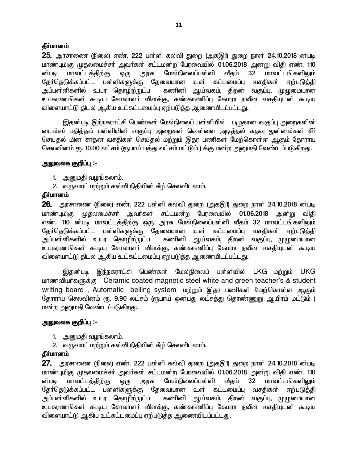25. அரசாணை (நிலை) எண். 222 பள்ளி கல்வி துறை (அகஇ1) துறை நாள் 24.10.2018 ன்படி மாண்புமிகு முதலமைச்சர் அவர்கள் சட்டமன்ற பேரவையில் 01.06.2018 அன்று விதி எண். 110 அரசு மேல்நிலைப்பள்ளி வீகம் 32 மாவட்டங்களிலும் ன்படி மாவட்டத்திற்கு ஒரு தேர்தெடுக்கப்பட்ட பள்ளிகளுக்கு கேவையான உள் கட்டமைப்பு வசகிகள் ஏற்படுக்கி அப்பள்ளிகளில் உயர தொழ<u>ிற்ந</u>ுட்ப கணினி ஆய்வகம், திறன் வகுப்பு, முழுமையான உபகரணங்கள் கூடிய சோலாளா் விளக்கு, கண்காணிப்பு கேமரா நவீன வசதியுடன் கூடிய விளையாட்டு திடல் ஆகிய உட்கட்டமைப்பு ஏற்படுத்த ஆணையிடப்பட்டது.

இதன்படி இந்நகராட்சி பெண்கள் மேல்நிலைப் பள்ளியில் பழுதான வகுப்பு அறைகளின் டைல்ஸ் பதித்தல் பள்ளியின் வகுப்பு அறைகள் வெள்ளை அடித்தல் கதவு ஜன்னல்கள் சீர் செய்தல் மின் சாதன வசதிகள் செய்தல் மற்றும் இதர பணிகள் மேற்கொள்ள ஆகும் தோராய செலவினம் ரூ. 10.00 லட்சம் (ரூபாய் பத்து லட்சம் மட்டும் ) க்கு மன்ற அனுமதி வேண்டப்படுகிறது.

#### <u> அலுவலக குறிப்பு :-</u>

- 1. அனுமதி வழங்கலாம்.
- 2. வருவாய் மற்றும் கல்வி நிதியின் கீழ் செலவிடலாம்.

#### தீர்மானம்

26. அரசாணை (நிலை) எண். 222 பள்ளி கல்வி துறை (அகஇ1) துறை நாள் 24.10.2018 ன்படி மாண்புமிகு முதலமைச்சா் அவா்கள் சட்டமன்ற பேரவையில் 01.06.2018 அன்று விக<u>ி</u> எண். 110 ன்படி மாவட்டத்திற்கு ஒரு அரசு மேல்நிலைப்பள்ளி வீதம் 32 மாவட்டங்களிலும் தோ்தெடுக்கப்பட்ட பள்ளிகளுக்கு தேவையான உள் கட்டமைப்பு வசதிகள் ஏற்படுத்தி அப்பள்ளிகளில் உயர தொழிற்நுட்ப கணினி ஆய்வகம், திறன் வகுப்பு, முழுமையான உபகரணங்கள் கூடிய சோலாளர் விளக்கு, கண்காணிப்பு கேமரா நவீன வசகியுடன் கூடிய விளையாட்டு திடல் ஆகிய உட்கட்டமைப்பு ஏற்படுத்த ஆணையிடப்பட்டது.

இதன்படி இந்நகராட்சி பெண்கள் மேல்நிலைப் பள்ளியில் LKG மற்றும் UKG மாணவியர்களுக்கு Ceramic coated magnetic steel white and green teacher's & student writing board, Automatic belling system மற்றும் இதர பணிகள் மேற்கொள்ள ஆகும் தோராய செலவினம் ரூ. 9.90 லட்சம் (ரூபாய் ஒன்பது லட்சத்து தொண்ணுறு ஆயிரம் மட்டும் ) மன்ற அனுமதி வேண்டப்படுகி<u>றத</u>ு.

#### <u> அலுவலக குறிப்பு :-</u>

- 1. அனுமதி வழங்கலாம்.
- 2. வருவாய் மற்றும் கல்வி நிதியின் கீழ் செலவிடலாம்.

## தீர்மானம்

27. அரசாணை (நிலை) எண். 222 பள்ளி கல்வி துறை (அகஇ1) துறை நாள் 24.10.2018 ன்படி மாண்புமிகு முதலமைச்சா் அவா்கள் சட்டமன்ற பேரவையில் 01.06.2018 அன்று விதி எண். 110 மேல்நிலைப்பள்*ளி* மாவட்டத்திற்கு அரசு வீகம்  $32<sub>2</sub>$ மாவட்டங்களிலும் ன்படி ஒரு தேவையான உள் கட்டமைப்பு தோ்தெடுக்கப்பட்ட பள்ளிகளுக்கு வசகிகள் ஏற்படுக்கி கணினி ஆய்வகம், திறன் வகுப்பு, முழுமையான அப்பள்ளிகளில் உயர தொழிற்நுட்ப உபகரணங்கள் கூடிய சோலாளா் விளக்கு, கண்காணிப்பு கேமரா நவீன வசதியுடன் கூடிய விளையாட்டு ஆகிய உட்கட்டமைப்பு ஏற்படுத்த ஆணையிடப்பட்டது.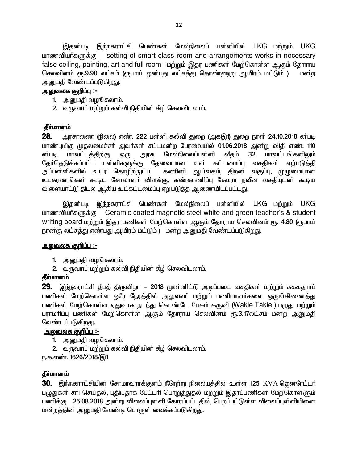இதன்படி இந்நகராட்சி பெண்கள் மேல்நிலைப் பள்ளியில் LKG மற்றும் UKG setting of smart class room and arrangements works in necessary மாணவியா்களுக்கு false ceiling, painting, art and full room மற்றும் இதர பணிகள் மேற்கொள்ள ஆகும் தோராய செலவினம் ரூ.9.90 லட்சம் (ரூபாய் ஒன்பது லட்சத்து தொண்ணுறு ஆயிரம் மட்டும் ) மன்ற அனுமதி வேண்டப்படுகிறது.

#### <u> அலுவலக குறிப்பு :-</u>

- 1. அனுமதி வழங்கலாம்.
- 2. வருவாய் மற்றும் கல்வி நிதியின் கீழ் செலவிடலாம்.

#### தீர்மானம்

28. அரசாணை (நிலை) எண். 222 பள்ளி கல்வி துறை (அகஇ1) துறை நாள் 24.10.2018 ன்படி மாண்புமிகு முதலமைச்சர் அவர்கள் சட்டமன்ற பேரவையில் 01.06.2018 அன்று விதி எண். 110 மாவட்டத்திற்கு மேல்நிலைப்பள்ளி மாவட்டங்களிலும் ன்படி அரசு வீதம்  $32<sub>2</sub>$ ஒரு தோ்தெடுக்கப்பட்ட பள்ளிகளுக்கு தேவையான உள் கட்டமைப்பு வசதிகள் ஏற்படுத்தி அப்பள்ளிகளில் உயர தொமிற்நுட்ப கணினி ஆய்வகம், திறன் வகுப்பு, முழுமையான உபகரணங்கள் கூடிய சோலாளா் விளக்கு, கண்காணிப்பு கேமரா நவீன வசதியுடன் கூடிய விளையாட்டு திடல் ஆகிய உட்கட்டமைப்பு ஏற்படுத்த ஆணையிடப்பட்டது.

இதன்படி இந்நகராட்சி பெண்கள் மேல்நிலைப் பள்ளியில் LKG மற்றும் UKG மாணவியர்களுக்கு Ceramic coated magnetic steel white and green teacher's & student writing board மற்றும் இதர பணிகள் மேற்கொள்ள ஆகும் தோராய செலவினம் ரூ. 4.80 (ரூபாய் நான்கு லட்சத்து எண்பது ஆயிரம் மட்டும் ) மன்ற அனுமதி வேண்டப்படுகிறது.

#### <u> அலுவலக குறிப்பு :-</u>

- 1. அனுமதி வழங்கலாம்.
- 2. வருவாய் மற்றும் கல்வி நிதியின் கீழ் செலவிடலாம்.

## தீர்மானம்

29. இந்நகராட்சி தீபத் திருவிழா – 2018 முன்னிட்டு அடிப்படை வசதிகள் மற்றும் சுககதாரப் பணிகள் மேற்கொள்ள ஒரே நேரத்தில் அலுவலர் மற்றும் பணியாளர்களை ஒருங்கிணைத்து பணிகள் மேற்கொள்ள ஏதுவாக நடந்து கொண்டே பேசும் கருவி (Wakie Takie ) பழுது மற்றும் பராமாிப்பு பணிகள் மேற்கொள்ள ஆகும் தோராய செலவினம் ரூ.3.17லட்சம் மன்ற அனுமதி வேண்டப்படுகிறது.

#### <u> அலுவலக குறிப்பு :-</u>

- 1. அனுமதி வழங்கலாம்.
- 2. வருவாய் மற்றும் கல்வி நிதியின் கீழ் செலவிடலாம்.

ந.க.எண். 1626/2018/இ1

#### தீர்மானம்

30. இந்நகராட்சியின் சோமாவாரக்குளம் நீரேற்று நிலையத்தில் உள்ள 125 KVA ஜெனரேட்டர் பழுதுகள் சரி செய்தல், புதியதாக பேட்டரி பொறுத்துதல் மற்றும் இதரப்பணிகள் மேற்கொள்ளும் பணிக்கு 25.08.2018 அன்று விலைப்புள்ளி கோரப்பட்டதில், பெறப்பட்டுள்ள விலைப்புள்ளியினை மன்றத்தின் அனுமதி வேண்டி பொருள் வைக்கப்படுகிறது.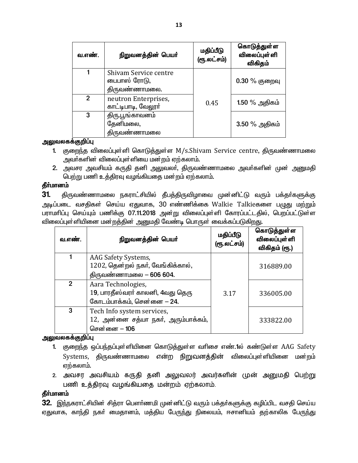| வ.எண்.       | நிறுவனத்தின் பெயர்                                     | மதிப்பீடு<br>(ரூ.லட்சம்) | கொடுத்துள்ள<br><b>விலைப்புள்</b> ளி<br>விகிதம் |
|--------------|--------------------------------------------------------|--------------------------|------------------------------------------------|
|              | Shivam Service centre<br>பைபாஸ் ரோடு,<br>திருவண்ணாமலை. |                          | $0.30\%$ குறைவு                                |
| $\mathbf{2}$ | neutron Enterprises,<br>காட்டிபாடி, வேலூர்             | 0.45                     | 1.50 $%$ அதிகம்                                |
| 3            | திரு.பூங்காவனம்<br>தேனிமலை,<br>திருவண்ணாமல <u>ை</u>    |                          | $3.50\%$ அதிகம்                                |

#### அலுவலகக்குறிப்பு

- 1. குறைந்த விலைப்புள்ளி கொடுத்துள்ள M/s.Shivam Service centre, திருவண்ணாமலை அவர்களின் விலைப்புள்ளியை மன்றம் ஏற்கலாம்.
- 2. அவசர அவசியம் கருதி தனி அலுவலர், திருவண்ணாமலை அவர்களின் முன் அனுமதி பெற்று பணி உத்திரவு வழங்கியதை மன்றம் ஏற்கலாம்.

#### தீர்மானம்

திருவண்ணாமலை நகராட்சியில் தீபத்திருவிழாவை முன்னிட்டு வரும் பக்தா்களுக்கு 31. அடிப்படை வசதிகள் செய்ய ஏதுவாக, 30 எண்ணிக்கை Walkie Talkieகளை பழுது மற்றும் பராமாிப்பு செய்யும் பணிக்கு 07.11.2018 அன்று விலைப்புள்ளி கோரப்பட்டதில், பெறப்பட்டுள்ள விலைப்புள்ளியினை மன்றத்தின் அனுமதி வேண்டி பொருள் வைக்கப்படுகிறது.

| வ.எண்.      | நிறுவனத்தின் பெயர்                                                                             | மதிப்பீடு<br>(ரூ.லட்சம்) | கொடுத்துள்ள<br>விலைப்புள்ளி<br>விகிதம் (ரூ.) |
|-------------|------------------------------------------------------------------------------------------------|--------------------------|----------------------------------------------|
|             | AAG Safety Systems,<br>$1202$ , தென்றல் நகர், வேங்கிக்கால்,<br>திருவண்ணாமலை <b>- 606 604</b> . |                          | 316889.00                                    |
| $2^{\circ}$ | Aara Technologies,<br>19, பாரதீஸ்வரா் காலனி, 4வது தெரு<br>கோடம்பாக்கம், சென்னை – 24.           | 3.17                     | 336005.00                                    |
| 3           | Tech Info system services,<br>12, அன்னை சத்யா நகர், அரும்பாக்கம்,<br>சென்னை – 106              |                          | 333822.00                                    |

#### அலுவலகக்குறிப்பு

- 1. குறைந்த ஒப்பந்தப்புள்ளியினை கொடுத்துள்ள வரிசை எண்.1ல் கண்டுள்ள AAG Safety Systems, திருவண்ணாமலை என்ற நிறுவனத்தின் விலைப்புள்ளியினை மன்றம் ஏற்கலாம்.
- 2. அவசர அவசியம் கருதி தனி அலுவலர் அவர்களின் முன் அனுமதி பெற்று பணி உத்திரவு வழங்கியதை மன்றம் ஏற்கலாம்.

## தீா்மானம்

32. இந்நகராட்சியின் சித்ரா பௌர்ணமி முன்னிட்டு வரும் பக்தர்களுக்கு கழிப்பிட வசதி செய்ய ஏதுவாக, காந்தி நகா் மைதானம், மத்திய பேருந்து நிலையம், ஈசானியம் தற்காலிக பேருந்து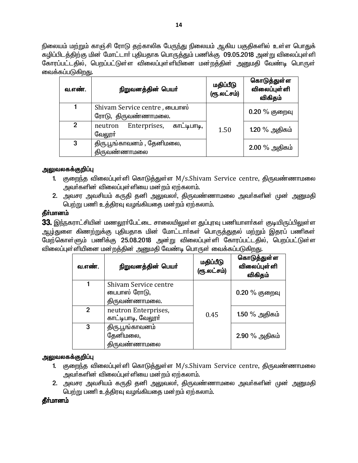நிலையம் மற்றும் காஞ்சி ரோடு தற்காலிக பேருந்து நிலையம் ஆகிய பகுதிகளில் உள்ள பொதுக் கழிப்பிடத்திற்கு மின் மோட்டார் புதியதாக பொருத்தும் பணிக்கு 09.05.2018 அன்று விலைப்புள்ளி கோரப்பட்டதில், பெறப்பட்டுள்ள விலைப்புள்ளியினை மன்றத்தின் அனுமதி வேண்டி பொருள் வைக்கப்படுகிறது.

| வ.எண்.        | நிறுவனத்தின் பெயர்                                   | மதிப்பீடு<br>(ரூ.லட்சம்) | கொடுத்துள்ள<br><b>விலைப்புள்</b> ளி<br>விகிதம் |
|---------------|------------------------------------------------------|--------------------------|------------------------------------------------|
|               | Shivam Service centre, பைபாஸ்<br>ரோடு, திருவண்ணாமலை. |                          | $0.20\%$ குறைவு                                |
| $\mathcal{P}$ | Enterprises, காட்டிபாடி,<br>neutron<br>வேலூா்        | 1.50                     | 1.20 % அதிகம்                                  |
| 3             | திரு.பூங்காவனம், தேனிமலை,<br>திருவண்ணாமலை            |                          | $2.00\%$ அதிகம்                                |

#### அலுவலகக்குறிப்பு

- 1. குறைந்த விலைப்புள்ளி கொடுத்துள்ள M/s.Shivam Service centre, திருவண்ணாமலை அவர்களின் விலைப்புள்ளியை மன்றம் ஏற்கலாம்.
- 2. அவசர அவசியம் கருதி தனி அலுவலா், திருவண்ணாமலை அவா்களின் முன் அனுமதி பெற்று பணி உத்திரவு வழங்கியதை மன்றம் ஏற்கலாம்.

#### தீர்மானம்

33. இந்நகராட்சியின் மணலூர்பேட்டை சாலையிலுள்ள துப்புரவு பணியாளர்கள் குடியிருப்பிலுள்ள ஆழ்துளை கிணற்றுக்கு புதியதாக மின் மோட்டாா்கள் பொருத்துதல் மற்றும் இதரப் பணிகள் மேற்கொள்ளும் பணிக்கு 25.08.2018 அன்று விலைப்புள்ளி கோரப்பட்டதில், பெறப்பட்டுள்ள விலைப்புள்ளியினை மன்றத்தின் அனுமதி வேண்டி பொருள் வைக்கப்படுகிறது.

| வ.எண்.         | நிறுவனத்தின் பெயர்                                     | மதிப்பீடு<br>(ரூ.லட்சம்) | கொடுத்துள்ள<br>விலைப்புள்ளி<br>விகிதம் |
|----------------|--------------------------------------------------------|--------------------------|----------------------------------------|
|                | Shivam Service centre<br>பைபாஸ் ரோடு,<br>திருவண்ணாமலை. |                          | 0.20 % குறைவு                          |
| $\overline{2}$ | neutron Enterprises,<br>காட்டிபாடி, வேலூர்             | 0.45                     | 1.50 $%$ அதிகம்                        |
| 3              | திரு.பூங்காவனம்<br>தேனிமலை,<br>திருவண்ணாமலை            |                          | $2.90\%$ அதிகம்                        |

## அலுவலகக்குறிப்பு

- 1. குறைந்த விலைப்புள்ளி கொடுத்துள்ள M/s.Shivam Service centre, திருவண்ணாமலை அவர்களின் விலைப்புள்ளியை மன்றம் ஏற்கலாம்.
- 2. அவசர அவசியம் கருதி தனி அலுவலர், திருவண்ணாமலை அவர்களின் முன் அனுமதி பெற்று பணி உத்திரவு வழங்கியதை மன்றம் ஏற்கலாம்.

#### தீர்மானம்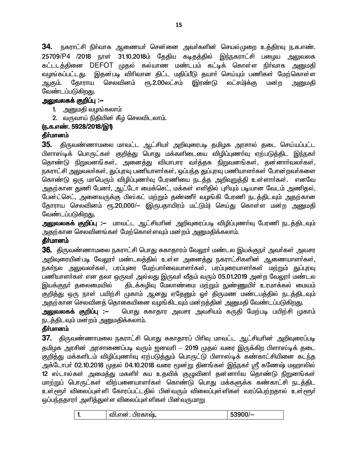34. நகராட்சி நிர்வாக ஆணையர் சென்னை அவர்களின் செயல்முறை உத்திரவு ந.க.எண். 25709/P4 /2018 நாள் 31.10.2018ம் தேதிய கடிதத்தில் இந்நகராட்சி பழைய அலுவலக கட்டடத்தினை DEFOT முதல் கல்யாண மண்டபம் கட்டிக் கொள்ள நிர்வாக அனுமதி வழங்கப்பட்டது. இதன்படி விரிவான கிட்ட மதிப்பீடு கயார் செய்யும் பணிகள் மேற்கொள்ள தோராய செலவினம் ரு.2.00லட்சம் (இரண்டு லட்சம்)க்கு மன்ற ஆகும். அனுமதி வேண்டப்படுகிறது.

## அலுவலகக் குறிப்பு :—

- 1. அனுமதி வழங்கலாம்
- 2. வருவாய் நிதியின் கீழ் செலவிடலாம்.

## ரு.க.எண். 5928/2018/இ1)

## தீர்மானம்

திருவண்ணாமலை மாவட்ட ஆட்சியா் அறிவுரைபடி தமிழக அரசால் தடை செய்யப்பட்ட 35. பிளாஸ்டிக் பொருட்கள் குறித்து பொது மக்களிடையை விழிப்புணா்வு ஏற்படுத்திட இந்நகா் தொண்டு நிறுவனங்கள், அனைத்து வியாபார வர்த்தக நிறுவனங்கள், தன்னார்வலர்கள், நகராட்சி அலுவலர்கள், துப்புரவு பணியாளர்கள், ஒப்பந்த துப்புரவு பணியாளர்கள் போன்றவர்களை கொண்டு ஒரு மாபெரும் விழிப்புணா்வு பேரணியை நடத்த அறிவறுத்தி உள்ளாா்கள். எனவே அதற்கான துணி பேனா், ஆட்டோ மைக்செட், மக்கள் எளிதில் புரியும் படியான வேடம் அணிதல், பேன்ட்செட், அனைவருக்கு பிஸ்கட் மற்றும் தண்ணீர் வழங்கி பேரணி நடத்திடவும் அதற்கான தோராய செலவினம் ரூ.20,000/– (இருபதாயிரம் மட்டும்) செய்து கொள்ள மன்ற அனுமதி வேண்டப்படுகிறது.

**அலுவலகக் குறிப்பு :–** மாவட்ட ஆட்சியரின் அறிவுரைப்படி விழிப்புணர்வு பேரணி நடத்திடவும் அதற்கான செலவினங்கள் மேற்கொள்ளவும் மன்றம் அனுமதிக்கலாம்.

## தீர்மானம்

36. திருவண்ணாமலை நகராட்சி பொது சுகாதாரம் வேலூர் மண்டல இயக்குநர் அவர்கள் அவசர அறிவுரையின்படி வேலூா் மண்டலத்தில் உள்ள அனைத்து நகராட்சிகளின் ஆணையாளா்கள், நகர்நல அலுவலர்கள், பரப்புரை மேற்பார்வையாளர்கள், பரப்புரையாளர்கள் மற்றும் துப்புரவு பணியாளர்கள் என தலா ஒருவர் அல்லது இருவர் வீதம் வரும் 05.01.2019 அன்ற வேலூர் மண்டல இயக்குநா் தலைமையில் திடக்கழிவு மேலாண்மை மற்றும் நுண்ணுயிர் உரமாக்கல் மையம் குறித்து ஒரு நாள் பயிற்சி முகாம் ஆனது ஏதேனும் ஒர் திருமண மண்டபத்தில் நடத்திடவும் அதற்கான செலவினக் தொகையினை வழங்கிடவும் மன்றத்தின் அனுமதி வேண்டப்படுகிறது.

<u> அலுவலகக் குறிப்பு :–</u> பொது சுகாதார அவசர அவசியம் கருதி மேற்படி பயிற்சி முகாம் நடத்திடவும் மன்றம் அனுமதிக்கலாம்.

## தீர்மானம்

 $37$ . திருவண்ணாமலை நகராட்சி பொது சுகாதாரப் பிரிவு மாவட்ட ஆட்சியரின் அறிவுரைப்படி தமிழக அரசின் அரசாணைப்படி வரும் ஜனவரி – 2019 முதல் வரை இருக்கிற பிளாஸ்டிக் தடை குறித்து மக்களிடம் விழிப்புணா்வு ஏற்படுத்தும் பொருட்டு பிளாஸ்டிக் கண்காட்சியினை கடந்த அக்டோபர் 02.10.2018 முதல் 04.10.2018 வரை மூன்று தினங்கள் இந்நகர் ஸ்ரீ கணேஷ் மஹாலில் 12 ஸ்டால்கள் அமைத்து மகளிர் சுய உதவிக் குழுவினர் தன்னார்வ தொண்டு நிறுனங்கள் மாற்றுப் பொருட்கள் விற்பனையாளர்கள் கொண்டு பொது மக்களுக்க கண்காட்சி நடத்திட உள்ளூர் விலைப்புள்ளி கோரப்பட்டதில் பின்வரும் விலைப்புள்ளிகள் வரப்பெற்றதால் உள்ளூர் ஒப்பந்ததாரா் அளித்துள்ள விலைப்புள்ளிகள் பின்வருமாறு

| $53900/-$<br>வி.என். பிரகாஷ்,<br> |  |
|-----------------------------------|--|
|-----------------------------------|--|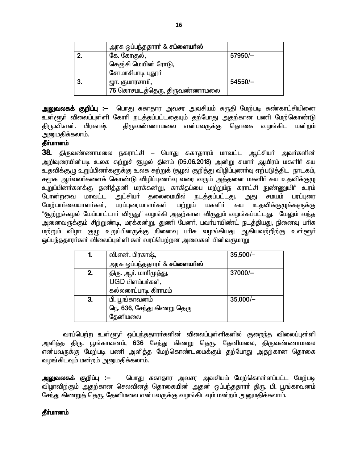|    | அரசு ஒப்பந்ததாரா் & <b>சப்ளையா்ஸ்</b> |           |
|----|---------------------------------------|-----------|
| 2. | கே. கோகுல்,                           | 57950/-   |
|    | செஞ்சி மெயின் ரோடு,                   |           |
|    | சோமாசிபாடி புதூர்                     |           |
| 3. | ஜா. குமாரசாமி,                        | $54550/-$ |
|    | 76 கொசமடத்தெரு, திருவண்ணாமலை          |           |

**அலுவலகக் குறிப்பு :–** பொது சுகாதார அவசர அவசியம் கருதி மேற்படி கண்காட்சியினை உள்ளூர் விலைப்புள்ளி கோரி நடத்தப்பட்டதையும் தற்போது அதற்கான பணி மேற்கொண்டு திரு.வி.என். பிரகாஷ் திருவண்ணாமலை என்பவருக்கு தொகை வழங்கிட மன்றம் அனுமதிக்கலாம்.

## தீர்மானம்

38. திருவண்ணாமலை நகராட்சி – பொது சுகாதாரம் மாவட்ட ஆட்சியா் அவா்களின் அறிவுரையின்படி உலக சுற்றுச் சூழல் தினம் (05.06.2018) அன்று சுமாா் ஆயிரம் மகளிா் சுய உதவிக்குழு உறுப்பினா்களுக்கு உலக சுற்றுக் சூழல் குறித்து விழிப்புணா்வு ஏற்படுத்திட நாடகம், சமூக ஆர்வலர்களைக் கொண்டு விழிப்புணாவு வரை வரும் அத்தனை மகளிர் சுய உதவிக்குழு உறுப்பினா்களக்கு தனித்தனி மரக்கன்று, காகிதப்பை மற்றும்ந கராட்சி நுண்ணுயிா் உரம் போன்றவை மாவட்ட அட்சியா் கலைமையில் <u>நடத்தப்பட்டது.</u> அது சமயம் பரப்புரை மேற்பார்வையாளர்கள், பரப்புரையாளர்கள் மகளிர் சுய உதவிக்குழுக்களுக்கு மற்றும் "சூற்றுச்சுழல் மேம்பாட்டாா் விருது" வழங்கி அதற்கான விருதும் வழங்கப்பட்டது. மேலும் வந்த அனைவருக்கும் சிற்றுண்டி, மரக்கன்று, துணி பேனர், பவர்பாயிண்ட் நடத்தியது, நினைவு பரிசு மற்றும் விழா குழு உறுப்பினருக்கு நினைவு பாிசு வழங்கியது ஆகியவற்றிற்கு உள்ளூா் ஒப்பந்ததாரா்கள் விலைப்புள்ளி கள் வரப்பெற்றன அவைகள் பின்வருமாறு

| 1. | வி.என். பிரகாஷ்,                      | $35,500/-$ |
|----|---------------------------------------|------------|
|    | அரசு ஒப்பந்ததாரா் & <b>சப்ளையா்ஸ்</b> |            |
| 2. | திரு. ஆர். மாரிமுத்து,                | $37000/-$  |
|    | UGD பிளம்பர்கள்,                      |            |
|    | கல்லரைப்பாடி கிராமம்                  |            |
| 3. | பி. பூங்காவனம்                        | $35,000/-$ |
|    | நெ. 636, சேந்து கிணறு தெரு            |            |
|    | தேனிமலை                               |            |

வரப்பெற்ற உள்ளூர் ஒப்பந்ததாரா்களின் விலைப்புள்ளிகளில் குறைந்த விலைப்புள்ளி அளித்த திரு. பூங்காவனம், 636 சேந்து கிணறு தெரு, தேனிமலை, திருவண்ணாமலை என்பவருக்கு மேற்படி பணி அளித்த மேற்கொண்டமைக்கும் தற்போது அதற்கான தொகை வழங்கிடவும் மன்றம் அனுமதிக்கலாம்.

அலுவலகக் குறிப்பு :– பொது சுகாதார அவசர அவசியம் மேற்கொள்ளப்பட்ட மேற்படி விழாவிற்கும் அதற்கான செலவினத் தொகையின் அதன் ஒப்பந்ததாரா் திரு. பி. பூங்காவனம் சேந்து கிணறுத் தெரு, தேனிமலை என்பவருக்கு வழங்கிடவும் மன்றம் அனுமதிக்கலாம்.

## தீர்மானம்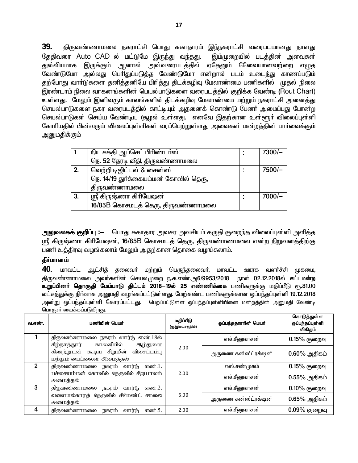39. திருவண்ணாமலை நகராட்சி பொது சுகாதாரம் இந்நகராட்சி வரைபடமானது நாளது இம்முறையில் படத்தின் அளவுகள் தேதிவரை Auto CAD ல் மட்டுமே இருந்து வந்தது. துல்லியமாக இருக்கும் ஆனால் அவ்வரைபடத்தில் ஏதேனும் கேவையானவற்றை எழுத வேண்டுமோ அல்லது பெரிதுப்படுத்த வேண்டுமோ என்றால் படம் உடைந்து காணப்படும் தற்போது வாா்டுகளை தனித்தனியே பிாித்து திடக்கழிவு மேலாண்மை பணிகளில் முதல் நிலை இரண்டாம் நிலை வாகனங்களின் பெயல்பாடுகளை வரைபடத்தில் குறிக்க வேண்டி (Rout Chart) உள்ளது. மேலும் இனிவரும் காலங்களில் திடக்கமிவு மேலாண்மை மற்றும் நகராட்சி அனைக்து செயல்பாடுகளை நகர வரைபடத்தில் காட்டியும் அதனைக் கொண்டு பேனா் அமைப்பது போன்ற செயல்பாடுகள் செய்ய வேண்டிய சூழல் உள்ளது. எனவே இதற்கான உள்ளூா் விலைப்புள்ளி கோரியதில் பின்வரும் விலைப்புள்ளிகள் வரப்பெற்றுள்ளது அவைகள் மன்றத்தின் பார்வைக்கும் அனுமதிக்கும்

|    | நியு சக்தி ஆப்செட் பிரிண்டா்ஸ்        |  | $7300/-$ |
|----|---------------------------------------|--|----------|
|    | நெ. 52 தேரடி வீதி, திருவண்ணாமலை       |  |          |
| 2. | வெற்றி டிஜிட்டல் & சைன்ஸ்             |  | 7500/-   |
|    | நெ. 14/19 துர்க்கையம்மன் கோவில் தெரு, |  |          |
|    | திருவண்ணாமலை                          |  |          |
| 3. | ஸ்ரீ கிருஷ்ணா கிரியேஷன்               |  | $7000/-$ |
|    | 16/85B கொசமடத் தெரு, திருவண்ணாமலை     |  |          |

<mark>அலுவலகக் குறிப்பு :</mark>— பொது சுகாதார அவசர அவசியம் கருதி குறைந்த விலைப்புள்ளி அளித்த ஸ்ரீ கிருஷ்ணா கிரியேஷன், 16/85B கொசமடத் தெரு, திருவண்ாணமலை என்ற நிறுவனத்திற்கு பணி உத்திரவு வழங்கலாம் மேலும் அதற்கான தொகை வழங்கலாம்.

#### தீர்மானம்

40. மாவட்ட ஆட்சித் தலைவர் மற்றும் பெருந்தலைவர், மாவட்ட ஊரக வளர்ச்சி முகமை, .<br>திருவண்ணாமலை அவர்களின் செயல்முறை ந.க.எண்.அ6/9953/2018 நாள் 02.12.2018ல் **சட்டமன்**m உறுப்பினர் தொகுதி மேம்பாடு திட்டம் 2018—19ல் 25 எண்ணிக்கை பணிகளுக்கு மதிப்பீடு ரூ.81.00 லட்சத்துக்கு நிர்வாக அனுமதி வழங்கப்பட்டுள்ளது. மேற்கண்ட பணிகளுக்கான ஒப்பந்தப்புள்ளி 19.12.2018 அன்று ஒப்பந்தப்புள்ளி கோரப்பட்டது. பெறப்பட்டுள்ள ஒப்பந்தப்புள்ளியினை மன்றத்தின் அனுமதி வேண்டி பொருள் வைக்கப்படுகிறது.

| வ.எண்.        | பணியின் பெயர்                                                              | மதிப்பீடு<br>(ரூ.இலட்சத்தில்) | ஒப்பந்ததாரரின் பெயர் | கொடுத்துள்ள<br>ஒப்பந்தப்புள்ளி<br>விகிதம் |
|---------------|----------------------------------------------------------------------------|-------------------------------|----------------------|-------------------------------------------|
|               | திருவண்ணாமலை நகரம் வார்டு எண்.18ல்<br>காலனியில்<br>கீழ்நாத்தார்<br>ஆழ்துளை |                               | எல் சீனுவாசன்        | $0.15%$ குறைவு                            |
|               | கிணற்றுடன் கூடிய சிறுமின்<br>விசைப்பம்பு<br>மற்றும் பைப்லைன் அமைத்தல்      | 2.00                          |                      | $0.60\%$ அதிகம்                           |
| $\mathcal{P}$ | திருவண்ணாமலை நகரம் வார்டு எண்.1.                                           |                               | எஸ்.சண்முகம்         | $0.15%$ குறைவு                            |
|               | பச்சையம்மன் கோவில் தெருவில் சிறுபாலம்<br>அமைத்தல்                          | 2.00                          | எல்.சீனுவாசன்        | $0.55\%$ அதிகம்                           |
| 3             | திருவண்ணாமலை நகரம்<br>எண்.2.<br>வார்(ந                                     |                               | எல் சீனுவாசன்        | $0.10\%$ குறைவு                           |
|               | வளையல்காரத் தெருவில் சிமெண்ட் சாலை<br>அமைக்கல்                             | 5.00                          | அருணை கன்ஸ்ட்ரக்ஷன்  | $0.65\%$ அதிகம்                           |
| 4             | திருவண்ணாமலை<br>நகரம்<br>வார்(ந<br>எண்.5.                                  | 2.00                          | எல்.சீனுவாசன்        | $0.09\%$ குறைவு                           |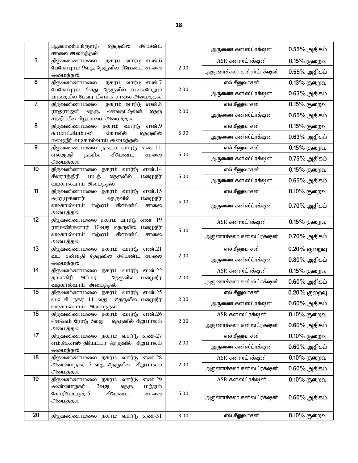|                | சிமெண்ட்<br>புதுவாணியங்குளத்<br>தெருவில்                                                            |          | அருணை கன்ஸ்ட்ரக்ஷன்       | $0.55\%$ அதிகம் |
|----------------|-----------------------------------------------------------------------------------------------------|----------|---------------------------|-----------------|
| 5              | சாலை அமைத்தல்<br>நகரம் வார்டு எண்.6<br>திருவண்ணாமலை                                                 |          | ASR கன்ஸ்ட்ரக்ஷன்         | $0.15%$ குறைவு  |
|                | பேகோபுரம் 9வது தெருவில் சிமெண்ட் சாலை<br>அமைத்தல்                                                   | 2.00     | அருணாச்சலா கன ஸ்ட்ரக்ஷன்  | $0.55\%$ அதிகம் |
| 6              | திருவண்ணாமலை<br>நகரம் வார்டு எண்.7                                                                  |          | எல்.சீனுவாசன்             | 0.13% குறைவு    |
|                | பேகோபுரம் 6வது<br>தெருவில் மலையேறும்                                                                | 2.00     | அருணை கன்ஸ்ட்ரக்ஷன்       | $0.63\%$ அதிகம் |
| $\overline{7}$ | பாதையில் பேவர் பிளாக் சாலை அமைத்தல்<br>திருவண்ணாமலை<br>நகரம் வார்டு எண்.8                           |          | எல்.சீனுவாசன்             | $0.15%$ குறைவு  |
|                | ராஜராஜன்<br>தெரு,<br>செங்குட்டுவன்<br>தெரு                                                          | 2.00     |                           |                 |
|                | சந்திப்பில் சிறுபாலம் அமைத்தல்                                                                      |          | அருணை கன்ஸ்ட்ரக்ஷன்       | $0.65\%$ அதிகம் |
| 8              | எண்.9<br>திருவண்ணாமலை<br>நகரம் வார்டு                                                               |          | எல்.சீனுவாசன்             | $0.15\%$ குறைவு |
|                | கோவில்<br>காமாட்சியம்மன்<br>தெருவில்<br>மழைநீர் வடிகால்வாய் அமைத்தல்                                | 5.00     | அருணை கன்ஸ்ட்ரக்ஷன்       | $0.63\%$ அதிகம் |
| 9              | எண்.11.<br>திருவண்ணாமலை நகரம் வார்டு                                                                |          | எல்.சீனுவாசன்             | 0.15% குறைவு    |
|                | நகரில்<br>சிமெண்ட்<br>எல்.ஜ.ஜி<br>சாலை<br>அமைத்தல்                                                  | 5.00     | அருணை கன்ஸ்ட்ரக்ஷன்       | $0.75\%$ அதிகம் |
| 10             | திருவண்ணாமலை நகரம் வார்டு<br>எண்.14                                                                 |          | எல்.சீனுவாசன்             | $0.15%$ குறைவு  |
|                | சிவராத்திரி<br>மடத்<br>தெருவில்<br>மழைநீர்<br>வடிகால்வாய் அமைத்தல்                                  | 5.00     | அருணை கன்ஸ்ட்ரக்ஷன்       | $0.65\%$ அதிகம் |
| 11             | எண்.15<br>திருவண்ணாமலை நகரம் வார்டு                                                                 |          | எல்.சீனுவாசன்             | $0.10\%$ குறைவு |
|                | தெருவில்<br>ஆறுமுகனார்<br>மழைநீர்<br>வடிகால்வாய்<br>சிமெண்ட்<br><b>LDODUID</b><br>சாலை<br>அமைத்தல்  | 5.00     | அருணை கன்ஸ்ட்ரக்ஷன்       | $0.70\%$ அதிகம் |
| 12             | திருவண்ணாமலை நகரம் வார்டு எண் 19                                                                    |          | ASR கன்ஸ்ட்ரக்ஷன்         | $0.15\%$ குறைவு |
|                | ராமலிங்கனார் 10வது தெருவில் மழைநீர்<br>சிமெண்ட்<br>வடிகால்வாய்<br><b>LDODUD</b><br>சாலை<br>அமைத்தல் | 5.00     | அருணாச்சலா கன ்ஸ்ட்ரக்ஷன் | $0.70\%$ அதிகம் |
| 13             | திருவண்ணாமலை நகரம் வார்டு<br>எண்.21                                                                 |          | எல்.சீனுவாசன்             | 0.20% குறைவு    |
|                | தெருவில சிமெண்ட்<br>வட சன்னதி<br>சாலை<br>அமைத்தல்                                                   | 2.00     | அருணை கன்ஸ்ட்ரக்ஷன்       | $0.80\%$ அதிகம் |
| 14             | திருவண்ணாமலை நகரம் வார்டு<br>எண்.22                                                                 |          | ASR கன்ஸ்ட்ரக்ஷன்         | $0.15%$ குறைவு  |
|                | தாளகிரி<br>அய்யர்<br>தெருவில<br>மழைநீர்<br>வடிகால்வாய் அமைத்தல்                                     | 2.00     | அருணாச்சலா கன ்ஸ்ட்ரக்ஷன் | $0.60\%$ அதிகம் |
| 15             | எண்.25<br>வார்(ந<br>திருவண்ணாமலை<br>நகரம்                                                           |          | எல்.சீனுவாசன்             | 0.20% குறைவு    |
|                | தெருவில் மழைநீர்<br>வ.உ.சி. நகர் 11 வது<br>வடிகால்வாய் அமைத்தல்                                     | 2.00     | அருணை கன்ஸ்ட்ரக்ஷன்       | $0.60\%$ அதிகம் |
| 16             | திருவண்ணாமலை நகரம் வார்டு எண். $26$                                                                 |          | ASR கன்ஸ்ட்ரக்ஷன்         | $0.10\%$ குறைவு |
|                | தெருவில் சிறுபாலம்<br>செங்கம் ரோடு 5வது<br>அமைத்தல்                                                 | 2.00     | அருணாச்சலா கன ஸ்ட்ரக்ஷன்  | $0.60\%$ அதிகம் |
| 17             | திருவண்ணாமலை நகரம் வார்டு எண்-27                                                                    |          | எல்.சீனுவாசன்             | $0.10\%$ குறைவு |
|                | எம்.கே.எஸ் தியேட்டர் தெருவில் சிறுபாலம்<br>அமைத்தல்                                                 | 2.00     | அருணை கன்ஸ்ட்ரக்ஷன்       | $0.60\%$ அதிகம் |
| 18             | திருவண்ணாமலை நகரம் வார்டு எண்-28                                                                    |          | ASR கன்ஸ்ட்ரக்ஷன்         | $0.10\%$ குறைவு |
|                | அண்ணாநகர் 7 வது தெருவில் சிறுபாலம்<br>அமைத்தல்                                                      | 2.00     | அருணாச்சலா கன ஸ்ட்ரக்ஷன்  | $0.60\%$ அதிகம் |
| 19             | திருவண்ணாமலை நகரம் வார்டு<br>எண்-29                                                                 |          | ASR கன்ஸ்ட்ரக்ஷன்         | $0.10\%$ குறைவு |
|                | அண்ணாநகர்<br><b>LDODUD</b><br>3வது<br>தெரு<br>கோரிமேட்டுத்-5<br>சிமெண்ட்<br>சாலை<br>அமைத்தல்        | 5.00     | அருணாச்சலா கன ்ஸ்ட்ரக்ஷன் | $0.60\%$ அதிகம் |
| 20             | திருவண்ணாமலை நகரம் வார்டு<br>எண்-31                                                                 | $3.00\,$ | எல்.சீனுவாசன்             | $0.10\%$ குறைவு |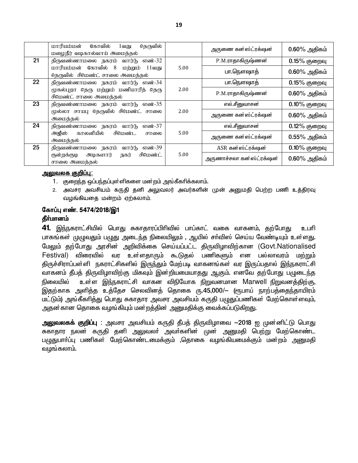|    | மாரியம்மன்<br>கோவில்<br>தெருவில்<br>1வது<br>மழைநீர் வடிகால்வாய் அமைத்தல்   |      | அருணை கன்ஸ்ட்ரக்ஷன்      | $0.60\%$ அதிகம் |
|----|----------------------------------------------------------------------------|------|--------------------------|-----------------|
| 21 | திருவண்ணாமலை நகரம் வார்டு எண்-32                                           |      | P.M.ராதாகிருஷ்ணன்        | $0.15%$ குறைவு  |
|    | மாரியம்மன் கோவில் 8<br>மற்றாம்<br>11வது<br>தெருவில் சிமெண்ட் சாலை அமைத்தல் | 5.00 | பா.நௌஷாத்                | $0.60\%$ அதிகம் |
| 22 | திருவண்ணாமலை நகரம் வார்டு எண்-34                                           |      | பா.நௌஷாத்                | $0.15\%$ குறைவு |
|    | முகல்புறா தெரு மற்றும் மணியாரித் தெரு<br>சிமெண்ட் சாலை அமைத்தல்            | 2.00 | P.M.ராதாகிருஷ்ணன்        | $0.60\%$ அதிகம் |
| 23 | திருவண்ணாமலை நகரம் வார்டு எண்-35                                           |      | எல்.சீனுவாசன்            | $0.10\%$ குறைவு |
|    | முல்லா சாயபு தெருவில் சிமெண்ட் சாலை<br>அமைத்தல்                            | 2.00 | அருணை கன்ஸ்ட்ரக்ஷன்      | $0.60\%$ அதிகம் |
| 24 | திருவண்ணாமலை நகரம் வார்டு<br>எண்-37                                        |      | எல்.சீனுவாசன்            | $0.12\%$ குறைவு |
|    | அஜீஸ் காலனியில்<br>சிமெண்ட<br>சாலை<br>அமைத்தல்                             | 5.00 | அருணை கன்ஸ்ட்ரக்ஷன்      | $0.55\%$ அதிகம் |
| 25 | எண்-39<br>திருவண்ணாமலை நகரம்<br>வார்(ந                                     |      | ASR கன்ஸ்ட்ரக்ஷன்        | $0.10\%$ குறைவு |
|    | சிமெண்ட்<br>குன்றக்குடி அடிகளார்<br>நகர்<br>சாலை அமைத்தல்                  | 5.00 | அருணாச்சலா கன்ஸ்ட்ரக்ஷன் | $0.60\%$ அதிகம் |

#### <u>அலுவலக குறிப்பு:</u>

- 1. குறைந்த ஒப்பந்தப்புள்ளிகளை மன்றம் அங்கீகரிக்கலாம்.
- 2. அவசர அவசியம் கருதி தனி அலுவலர் அவர்களின் முன் அனுமதி பெற்ற பணி உத்திரவு வழங்கியதை மன்றம் ஏற்கலாம்.

#### கோப்பு எண். 5474/2018/இ1

#### தீா்மானம்

 $41.$  இந்நகராட்சியில் பொது சுகாதாரப்பிரிவில் பாப்காட் வகை வாகனம், தற்போது  $\,$  உபரி பாகங்கள் முழுவதும் பழுது அடைந்த நிலையிலும் , ஆயில் சா்விஸ் செய்ய வேண்டியும் உள்ளது. மேலும் தற்போது அரசின் அறிவிக்கை செய்யப்பட்ட திருவிழாவிற்கான (Govt.Nationalised Festival) விரைவில் வர உள்ளதாரும் கூடுதல் பணிகளும் என பல்லாவரம் மற்றும் திருச்சிராப்பள்ளி நகராட்சிகளில் இருந்தும் மேற்படி வாகனங்கள் வர இருப்பதால் இந்நகராட்சி வாகனம் தீபத் திருவிழாவிற்கு மிகவும் இன்றியமையாதது ஆகும். எனவே தற்போது பழுடைந்த நிலையில் உள்ள இந்நகராட்சி வாகன விநியோக நிறுவனமான Marwell நிறுவனத்திற்கு, இதற்காக அளித்த உத்தேச செலவினத் தொகை ரு.45,000/— (ரூபாய் நாற்பத்தைந்தாயிரம் மட்டும்) அங்கீகரித்து பொது சுகாதார அவசர அவசியம் கருதி பழுதுப்பணிகள் மேற்கொள்ளவும், அதன்கான தொகை வழங்கியும் மன்றத்தின் அனுமதிக்கு வைக்கப்படுகிறது.

<mark>அலுவலகக் குறிப்பு</mark> : அவசர அவசியம் கருதி தீபத் திருவிழாவை −2018 ஐ முன்னிட்டு பொது சுகாதார நலன் கருதி தனி அலுவலா் அவா்களின் முன் அனுமதி பெற்று மேற்கொண்ட பழுதுபார்ப்பு பணிகள் மேற்கொண்டமைக்கும் ,தொகை வழங்கியமைக்கும் மன்றம் <u>அனு</u>மதி வழங்கலாம்.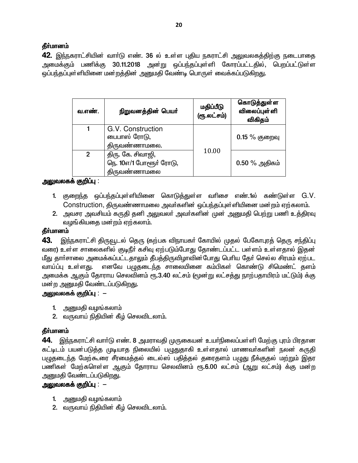42. இந்நகராட்சியின் வார்டு எண். 36 ல் உள்ள புதிய நகராட்சி அலுவலகத்திற்கு நடைபாதை அமைக்கும் பணிக்கு 30.11.2018 அன்று ஒப்பந்தப்புள்ளி கோரப்பட்டதில், பெறப்பட்டுள்ள ஒப்பந்தப்புள்ளியினை மன்றத்தின் அனுமதி வேண்டி பொருள் வைக்கப்படுகிறது.

| வ.எண். | நிறுவனத்தின் பெயர்                                                  | மதிப்பீடு<br>(ரூ.லட்சம்) | கொடுத்துள்ள<br><b>விலைப்புள்</b> ளி<br>விகிதம் |
|--------|---------------------------------------------------------------------|--------------------------|------------------------------------------------|
|        | G.V. Construction<br>பைபாஸ் ரோடு,<br>திருவண்ணாமலை.                  |                          | $0.15\%$ குறைவு                                |
| 2      | திரு. கே. சிவாஜி,<br>நெ. 10எ/1 போளூர் ரோடு,<br><u> கிருவண்ணாமலை</u> | 10.00                    | $0.50\%$ அதிகம்                                |

## அலுவலகக் குறிப்பு :

- 1. குறைந்த ஒப்பந்தப்புள்ளியினை கொடுத்துள்ள வரிசை எண்.1ல் கண்டுள்ள G.V. Construction, திருவண்ணாமலை அவர்களின் ஒப்பந்தப்புள்ளியினை மன்றம் ஏற்கலாம்.
- 2. அவசர அவசியம் கருதி தனி அலுவலா் அவா்களின் முன் அனுமதி பெற்று பணி உத்திரவு வழங்கியதை மன்றம் ஏற்கலாம்.

## தீர்மானம்

இந்நகராட்சி திருவூடல் தெரு (கற்பக விநாயகா் கோயில் முதல் பேகோபுரத் தெரு சந்திப்பு 43. வரை) உள்ள சாலைகளில் குடிநீர் கசிவு ஏற்படும்போது தோண்டப்பட்ட பள்ளம் உள்ளதால் இதன் மீது தார்சாலை அமைக்கப்பட்டதாலும் தீபத்திருவிழாவின்போது பெரிய தேர் செல்ல சிரமம் ஏற்பட வாய்ப்பு உள்ளது. எனவே பமுதடைந்த சாலையினை கம்பிகள் கொண்டு சிமெண்ட் தளம் அமைக்க ஆகும் தோராய செலவினம் ரூ.3.40 லட்சம் (மூன்று லட்சத்து நாற்பதாயிரம் மட்டும்) க்கு மன்ற அனுமதி வேண்டப்படுகிறது.

## <u> அலுவலகக் குறிப்பு : – </u>

- 1. அனுமதி வழங்கலாம்
- 2. வருவாய் நிதியின் கீழ் செலவிடலாம்.

## தீா்மானம்

**44.** இந்நகராட்சி வாா்டு எண். 8 அமராவதி முருகையன் உயா்நிலைப்பள்ளி மேற்கு புரம் பிரதான கட்டிடம் பயன்படுத்த முடியாத நிலையில் பழுதுதாகி உள்ளதால் மாணவர்களின் நலன் கருதி பழுதடைந்த மேற்கூரை சீரமைத்தல் டைல்ஸ் பதித்தல் தரைதளம் பழுது நீக்குதல் மற்றும் இதர பணிகள் மேற்களெள்ள ஆகும் தோராய செலவினம் ரூ.6.00 லட்சம் (ஆறு லட்சம்) க்கு மன்ற அனுமதி வேண்டப்படுகிறது.

## அலுவலகக் குறிப்பு :  $-$

- 1. அனுமதி வழங்கலாம்
- 2. வருவாய் நிதியின் கீழ் செலவிடலாம்.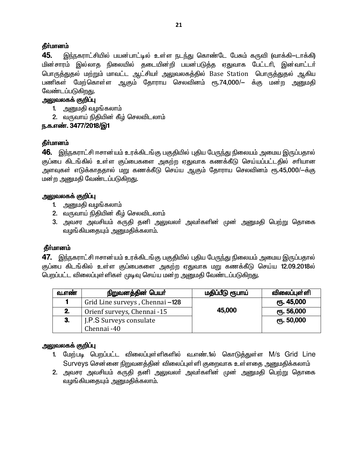45. இந்நகராட்சியில் பயன்பாட்டில் உள்ள நடந்து கொண்டே பேசும் கருவி (வாக்கி—டாக்கி) மின்சாரம் இல்லாத நிலையில் தடையின்றி பயன்படுத்த ஏதுவாக பேட்டரி, இன்வாட்டர் பொருத்துதல் மற்றும் மாவட்ட ஆட்சியா் அலுவலகத்தில் Base Station பொருத்துதல் ஆகிய பணிகள் மேற்கொள்ள ஆகும் தோராய செலவினம் ரூ.74,000/— க்கு மன்ற அனுமதி வேண்டப்படுகிறது.

#### அலுவலகக் குறிப்பு

- 1. அனுமதி வழங்கலாம்
- 2. வருவாய் நிதியின் கீழ் செலவிடலாம்

## ந.க.எண். 3477/2018/இ1

## தீர்மானம்

46. இந்நகராட்சி ஈசான்யம் உரக்கிடங்கு பகுதியில் புதிய பேருந்து நிலையம் அமைய இருப்பதால் குப்பை கிடங்கில் உள்ள குப்பைகளை அகற்ற ஏதுவாக கணக்கீடு செய்யப்பட்டதில் சரியான அளவுகள் எடுக்காததால் மறு கணக்கீடு செய்ய ஆகும் தோராய செலவினம் ரூ.45,000/-க்கு மன்ற அனுமதி வேண்டப்படுகிறது.

## அலுவலகக் குறிப்பு

- 1. அனுமதி வழங்கலாம்
- 2. வருவாய் நிதியின் கீழ் செலவிடலாம்
- 3. அவசர அவசியம் கருதி தனி அலுவலா் அவா்களின் முன் அனுமதி பெற்று தொகை வழங்கியதையும் அனுமதிக்கலாம்.

## தீர்மானம்

47. இந்நகராட்சி ஈசான்யம் உரக்கிடங்கு பகுதியில் புதிய பேருந்து நிலையம் அமைய இருப்பதால் குப்பை கிடங்கில் உள்ள குப்பைகளை அகற்ற ஏதுவாக மறு கணக்கீடு செய்ய 12.09.2018ல் பெறப்பட்ட விலைப்புள்ளிகள் முடிவு செய்ய மன்ற அனுமதி வேண்டப்படுகிறது.

| வ.எண் | நிறுவனத்தின் பெயர்              | மதிப்பீடு ரூபாய் | விலைப்புள்ளி       |
|-------|---------------------------------|------------------|--------------------|
|       | Grid Line surveys, Chennai -128 |                  | ரு. 45,000         |
| 2.    | Orienf surveys, Chennai -15     | 45,000           | <b>е</b> п. 56,000 |
| 3.    | J.P.S Surveys consulate         |                  | ரு. 50,000         |
|       | Chennai -40                     |                  |                    |

## அலுவலகக் குறிப்பு

- 1. மேற்படி பெறப்பட்ட விலைப்புள்ளிகளில் வ.எண்.1ல் கொடுத்துள்ள M/s Grid Line Surveys சென்னை நிறுவனத்தின் விலைப்புள்ளி குறைவாக உள்ளதை அனுமதிக்கலாம்
- 2. அவசர அவசியம் கருதி தனி அலுவலா் அவா்களின் முன் அனுமதி பெற்று தொகை வழங்கியதையும் அனுமதிக்கலாம்.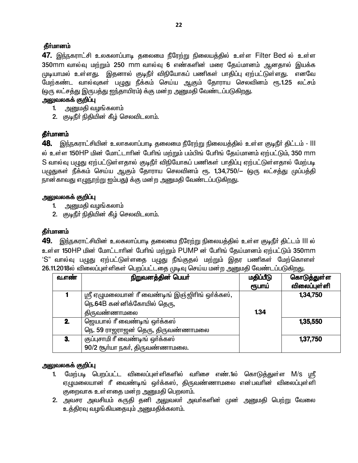47. இந்நகராட்சி உலகலாப்பாடி தலைமை நீரேற்று நிலையத்தில் உள்ள Filter Bed ல் உள்ள 350mm வால்வு மற்றும் 250 mm வால்வு 6 எண்களின் மரை கேய்மானம் ஆனகால் இயக்க முடியாமல் உள்ளது. இதனால் குடிநீர் விநியோகப் பணிகள் பாதிப்பு ஏற்பட்டுள்ளது. எனவே மேற்கண்ட வால்வுகள் பழுது நீக்கம் செய்ய ஆகும் தோராய செலவினம் ரூ.1.25 லட்சம் (ஒரு லட்சத்து இருபத்து ஐந்தாயிரம்) க்கு மன்ற அனுமதி வேண்டப்படுகிறது.

#### அலுவலகக் குறிப்பு

- 1. அனுமதி வழங்கலாம்
- 2. குடிநீர் நிதியின் கீழ் செலவிடலாம்.

## **கீர்மானம்**

48. இந்நகராட்சியின் உலாகலாப்பாடி தலைமை நீரேற்று நிலையத்தில் உள்ள குடிநீா் திட்டம் - III ல் உள்ள 150HP மின் மோட்டாரின் பேரிங் மற்றும் பம்பிங் பேரிங் தேய்மானம் ஏற்பட்டும், 350 mm S வால்வு ப<u>முது</u> ஏற்பட்டுள்ளதால் குடிநீர் விநியோகப் பணிகள் பாதிப்பு ஏற்பட்டுள்ளதால் மேற்படி பழுதுகள் நீக்கம் செய்ய ஆகும் தோராய செலவினம் ரூ. 1,34,750/— (ஒரு லட்சத்து முப்பத்தி நான காவது எழுநூற்று ஐம்பது) க்கு மன்ற அனுமதி வேண்டப்படுகிறது.

## அலுவலகக் குறிப்பு

- 1. அனுமதி வழங்கலாம்
- 2. குடிநீர் நிதியின் கீழ் செலவிடலாம்.

## தீர்மானம்

49. இந்நகராட்சியின் உலகலாப்பாடி தலைமை நீரேற்று நிலையத்தில் உள்ள குடிநீர் திட்டம் III ல் உள்ள 150HP மின் மோட்டாரின் பேரிங் மற்றும் PUMP ன் பேரிங் தேய்மானம் ஏற்பட்டும் 350mm 'S" வால்வு ப<u>முது</u> ஏற்பட்டுள்ளதை பழுது நீங்குதல் மற்றும் இதர பணிகள் மேற்கொளள் 26.11.2018ல் விலைப்புள்ளிகள் பெறப்பட்டதை முடிவு செய்ய மன்ற அனுமதி வேண்டப்படுகிறது.

| வ.எண் | நிறுவனத்தின் பெயர்                              | மதிப்பீடு | கொடுத்துள்ள  |
|-------|-------------------------------------------------|-----------|--------------|
|       |                                                 | ரூபாய்    | விலைப்புள்ளி |
|       | ஸ்ரீ ஏழுமலையான் ரீ வைண்டிங் இஞ்ஜிரிங் ஒர்க்கஸ், |           | 1,34,750     |
|       | நெ.64B கன்னிக்கோயில் தெரு,                      |           |              |
|       | திருவண்ணாமலை                                    | 1.34      |              |
| 2.    | ஜெயபால் ரீ வைண்டிங் ஒர்க்கஸ்                    |           | 1,35,550     |
|       | நெ. 59 ராஜராஜன் தெரு, திருவண்ணாமலை              |           |              |
| 3.    | குப்புசாமி ரீ வைண்டிங் ஒர்க்கஸ்                 |           | 1,37,750     |
|       | 90/2 சூர்யா நகர், திருவண்ணாமலை.                 |           |              |

#### அலுவலகக் குறிப்பு

- 1. மேற்படி பெறப்பட்ட விலைப்புள்ளிகளில் வரிசை எண்.1ல் கொடுத்துள்ள M/s ஸ்ரீ ஏழுமலையான் ரீ வைண்டிங் ஒர்க்கஸ், திருவண்ணாமலை என்பவரின் விலைப்புள்ளி குறைவாக உள்ளதை மன்ற அனுமதி பெறலாம்.
- 2. அவசர அவசியம் கருதி தனி அலுவலா் அவா்களின் முன் அனுமதி பெற்று வேலை உத்திரவு வழங்கியதையும் அனுமதிக்கலாம்.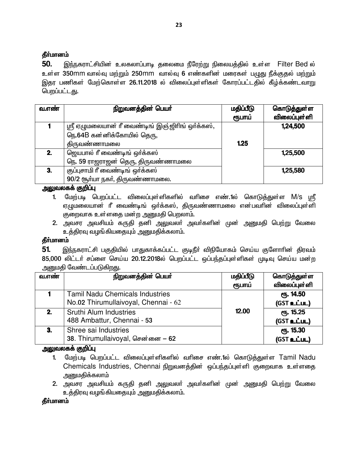50. இந்நகராட்சியின் உலகலாப்பாடி தலைமை நீரேற்று நிலையத்தில் உள்ள Filter Bed ல் உள்ள 350mm வால்வு மற்றும் 250mm வால்வு 6 எண்களின் மரைகள் பழுது நீக்குதல் மற்றும் இதர பணிகள் மேற்கொள்ள 26.11.2018 ல் விலைப்புள்ளிகள் கோரப்பட்டதில் கீழ்க்கண்டவாறு பெறப்பட்டது.

| வ.எண் | நிறுவனத்தின் பெயர்                              | மதிப்பீடு | கொடுத்துள்ள<br>விலைப்புள்ளி |
|-------|-------------------------------------------------|-----------|-----------------------------|
|       |                                                 | ரூபாய்    |                             |
|       | ஸ்ரீ ஏழுமலையான் ரீ வைண்டிங் இஞ்ஜிரிங் ஒர்க்கஸ், |           | 1,24,500                    |
|       | நெ.64B கன்னிக்கோயில் தெரு,                      |           |                             |
|       | திருவண்ணாமலை                                    | 1.25      |                             |
| 2.    | ஜெயபால் ரீ வைண்டிங் ஒர்க்கஸ்                    |           | 1,25,500                    |
|       | நெ. 59 ராஜராஜன் தெரு, திருவண்ணாமலை              |           |                             |
| 3.    | குப்புசாமி ரீ வைண்டிங் ஒர்க்கஸ்                 |           | 1,25,580                    |
|       | 90/2 சூர்யா நகர், திருவண்ணாமலை.                 |           |                             |

#### அலுவலகக் குறிப்பு

- 1. மேற்படி பெறப்பட்ட விலைப்புள்ளிகளில் வரிசை எண்.1ல் கொடுக்துள்ள M/S பரீ ஏழுமலையான் ரீ வைண்டிங் ஒர்க்கஸ், திருவண்ணாமலை என்பவரின் விலைப்புள்ளி குறைவாக உள்ளதை மன்ற அனுமதி பெறலாம்.
- 2. அவசர அவசியம் கருதி தனி அலுவலர் அவர்களின் முன் அனுமதி பெற்று வேலை உத்திரவு வழங்கியதையும் அனுமதிக்கலாம்.

## தீர்மானம்

இந்நகராட்சி பகுதியில் பாதுகாக்கப்பட்ட குடிநீா் விநியோகம் செய்ய குளோாின் திரவம் 51. 85,000 லிட்டர் சப்ளை செய்ய 20.12.2018ல் பெறப்பட்ட ஒப்பந்தப்புள்ளிகள் முடிவு செய்ய மன்ற அனுமதி வேண்டப்படுகிறது.

| வ.எண் | நிறுவனத்தின் பெயர்                     | மதிப்பீடு | கொடுத்துள்ள  |
|-------|----------------------------------------|-----------|--------------|
|       |                                        | ரூபாய்    | விலைப்புள்ளி |
|       | <b>Tamil Nadu Chemicals Industries</b> |           | ரு. 14.50    |
|       | No.02 Thirumullaivoyal, Chennai - 62   |           | (GST உட்பட)  |
| $2-$  | Sruthi Alum Industries                 | 12.00     | ரு. 15.25    |
|       | 488 Ambattur, Chennai - 53             |           | (GST உட்பட)  |
| 3.    | Shree sai Industries                   |           | ரு. 15.30    |
|       | 38. Thirumullaivoyal, சென்னை – 62      |           | (GST உட்பட)  |

## அலுவலகக் குறிப்பு

- 1. மேற்படி பெறப்பட்ட விலைப்புள்ளிகளில் வரிசை எண்.1ல் கொடுத்துள்ள Tamil Nadu Chemicals Industries, Chennai நிறுவனத்தின் ஒப்பந்தப்புள்ளி குறைவாக உள்ளதை அனுமதிக்கலாம்
- 2. அவசர அவசியம் கருதி தனி அலுவலர் அவர்களின் முன் அனுமதி பெற்று வேலை உத்திரவு வழங்கியதையும் அனுமதிக்கலாம்.

தீர்மானம்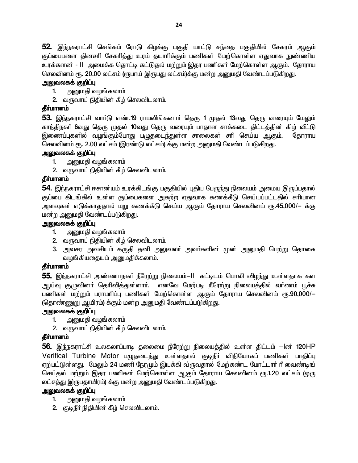52. இந்நகராட்சி செங்கம் ரோடு கிழக்கு பகுதி மாட்டு சந்தை பகுதியில் சேகரம் ஆகும் குப்பைபளை தினசரி சேகரித்து உரம் தயாரிக்கும் பணிகள் மேற்கொள்ள ஏதுவாக நுண்ணிய உரக்களன் - II அமைக்க கொட்டி கட்டுகல் மற்றும் இதர பணிகள் மேற்கொள்ள ஆகும். கோராய செலவினம் ரூ. 20.00 லட்சம் (ரூபாய் இருபது லட்சம்)க்கு மன்ற அனுமதி வேண்டப்படுகிறது.

## அலுவலகக் குறிப்பு

- அனுமதி வழங்கலாம்  $1<sup>1</sup>$
- 2. வருவாய் நிதியின் கீழ் செலவிடலாம்.

## **கீர்மானம்**

53. இந்நகராட்சி வாா்டு எண்.19 ராமலிங்கனாா் தெரு 1 முதல் 13வது தெரு வரையும் மேலும் காந்திநகர் 6வது தெரு முதல் 10வது தெரு வரையும் பாதாள சாக்கடை திட்டத்தின் கிழ் வீட்டு இணைப்புகளில் வழங்கும்போது பழுதடை<u>ந்து</u>ள்ள சாலைகள் சரி செய்ய ஆகும். கோராய செலவினம் ரூ. 2.00 லட்சம் (இரண்டு லட்சம்) க்கு மன்ற அனுமதி வேண்டப்படுகிறது.

## அலுவலகக் குறிப்பு

- அறுமதி வழங்கலாம்  $1<sub>1</sub>$
- 2. வருவாய் நிதியின் கீழ் செலவிடலாம்.

## தீர்மானம்

**54.** இந்நகராட்சி ஈசான்யம் உரக்கிடங்கு பகுதியில் புதிய பேருந்து நிலையம் அமைய இருப்பதால் குப்பை கிடங்கில் உள்ள குப்பைகளை அகற்ற ஏதுவாக கணக்கீடு செய்யப்பட்டதில் சரியான அளவுகள் எடுக்காததால் மறு கணக்கீடு செய்ய ஆகும் தோராய செலவினம் ரூ.45,000/— க்கு மன்ற அனுமதி வேண்டப்படுகிறது.

## அலுவலகக் குறிப்பு

- அனுமதி வழங்கலாம்  $1<sup>1</sup>$
- 2. வருவாய் நிதியின் கீழ் செலவிடலாம்.
- 3. அவசர அவசியம் கருதி தனி அலுவலா் அவா்களின் முன் அனுமதி பெற்று தொகை வழங்கியதையும் அனுமதிக்கலாம்.

## **தீர்மானம்**

**55.** இந்நகராட்சி அண்ணாநகா் நீரேற்று நிலையம்—ll கட்டிடம் பொலி விழந்து உள்ளதாக கள ஆய்வு குழுவினா் தொிவித்துள்ளாா். எனவே மேற்படி நீரேற்று நிலையத்தில் வா்ணம் பூச்சு பணிகள் மற்றும் பராமரிப்பு பணிகள் மேற்கொள்ள ஆகும் தோராய செலவினம் ரூ.90,000/— (தொண்ணுறு ஆயிரம்) க்கும் மன்ற அனுமதி வேண்டப்படுகிறது.

## அலுவலகக் குறிப்பு

- அனுமதி வழங்கலாம்  $1<sup>1</sup>$
- 2. வருவாய் நிதியின் கீழ் செலவிடலாம்.

## தீர்மானம்

**56.** இந்நகராட்சி உலகலாப்பாடி தலைமை நீரேற்று நிலையத்தில் உள்ள திட்டம் —lன் 120HP Verifical Turbine Motor பழுதடைந்து உள்ளதால் குடிநீர் விநியோகப் பணிகள் பாதிப்பு ஏற்பட்டுள்ளது. மேலும் 24 மணி நேரமும் இயக்கி வருவதால் மேற்கண்ட மோட்டார் ரீ வைண்டிங் செய்தல் மற்றும் இதர பணிகள் மேற்கொள்ள ஆகும் தோராய செலவினம் ரூ.1.20 லட்சம் (ஒரு லட்சத்து இருபதாயிரம்) க்கு மன்ற அனுமதி வேண்டப்படுகிறது.

## அலுவலகக் குறிப்பு

- அனுமதி வழங்கலாம்  $1.$
- 2. குடிநீர் நிதியின் கீழ் செலவிடலாம்.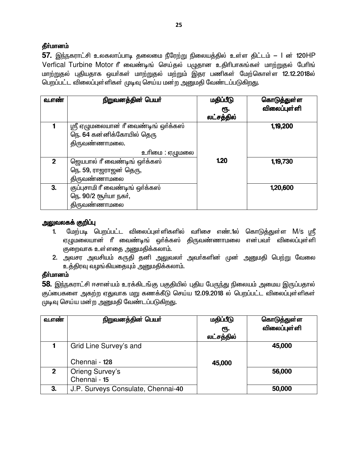57. இந்நகராட்சி உலகலாப்பாடி தலைமை நீரேற்று நிலையத்தில் உள்ள திட்டம் – l ன் 120HP Verfical Turbine Motor ரீ வைண்டிங் செய்தல் பழுதான உதிரிபாகங்கள் மாற்றுதல் பேரிங் மாற்றுதல் புதியதாக ஒயா்கள் மாற்றுதல் மற்றும் இதர பணிகள் மேற்கொள்ள 12.12.2018ல் பெறப்பட்ட விலைப்புள்ளிகள் முடிவு செய்ய மன்ற அனுமதி வேண்டப்படுகிறது.

| வ.எண்          | நிறுவனத்தின் பெயர்                                                                                   | மதிப்பீடு<br>ரூ.<br>லட்சத்தில் | கொடுத்துள்ள<br>விலைப்புள்ளி |
|----------------|------------------------------------------------------------------------------------------------------|--------------------------------|-----------------------------|
|                | ஸ்ரீ ஏழுமலையான் ரீ வைண்டிங் ஒர்க்கஸ்<br>நெ. 64 கன்னிக்கோயில் தெரு<br>திருவண்ணாமலை.<br>உரிமை : ஏழுமலை |                                | 1, 19, 200                  |
| $\overline{2}$ | ஜெயபால் ரீ வைண்டிங் ஒர்க்கஸ்<br>நெ. 59, ராஜராஜன் தெரு,<br>திருவண்ணாமலை                               | 1.20                           | 1, 19, 730                  |
| 3.             | குப்புசாமி ரீ வைண்டிங் ஒர்க்கஸ்<br>நெ. 90/2 சூர்யா நகர்,<br>திருவண்ணாமலை                             |                                | 1,20,600                    |

## அலுவலகக் குறிப்பு

- $1<sup>1</sup>$ மேற்படி பெறப்பட்ட விலைப்புள்ளிகளில் வரிசை எண்.1ல் கொடுத்துள்ள M/s ஸ்ரீ ஏழுமலையான் ரீ வைண்டிங் ஒர்க்கஸ் திருவண்ணாமலை என்பவர் விலைப்புள்ளி குறைவாக உள்ளதை அனுமதிக்கலாம்.
- 2. அவசர அவசியம் கருதி தனி அலுவலா் அவா்களின் முன் அனுமதி பெற்று வேலை உத்திரவு வழங்கியதையும் அனுமதிக்கலாம்.

## தீா்மானம்

58. இந்நகராட்சி ஈசான்யம் உரக்கிடங்கு பகுதியில் புதிய பேருந்து நிலையம் அமைய இருப்பதால் குப்பைகளை அகற்ற ஏதுவாக மறு கணக்கீடு செய்ய 12.09.2018 ல் பெறப்பட்ட விலைப்புள்ளிகள் முடிவு செய்ய மன்ற அனுமதி வேண்டப்படுகிறது.

| வளை            | நிறுவனத்தின் பெயர்                 | மதிப்பீடு<br>ரூ.<br>லட்சத்தில் | கொடுத்துள்ள<br>விலைப்புள்ளி |
|----------------|------------------------------------|--------------------------------|-----------------------------|
|                | Grid Line Survey's and             |                                | 45,000                      |
|                | Chennai - 128                      | 45,000                         |                             |
| $\overline{2}$ | Orieng Survey's<br>Chennai - 15    |                                | 56,000                      |
| 3.             | J.P. Surveys Consulate, Chennai-40 |                                | 50,000                      |